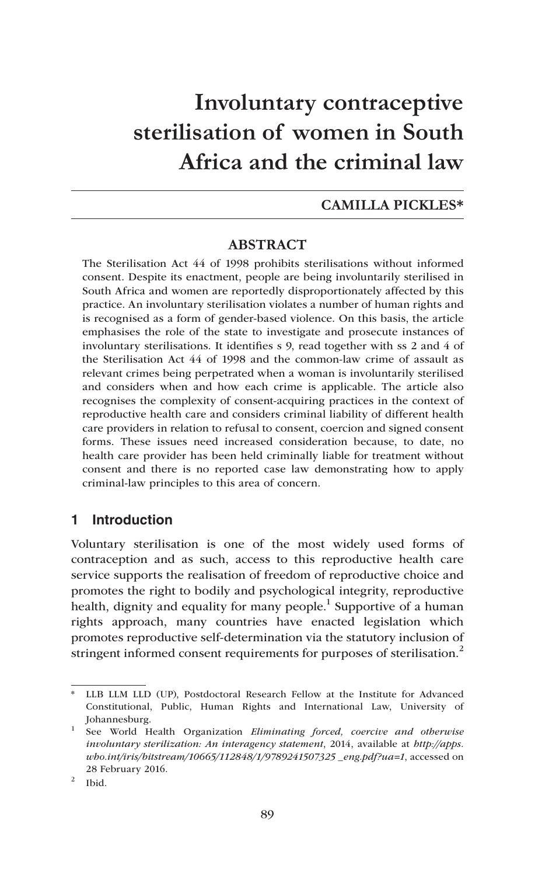# **Involuntary contraceptive sterilisation of women in South Africa and the criminal law**

#### **CAMILLA PICKLES\***

## **ABSTRACT**

The Sterilisation Act 44 of 1998 prohibits sterilisations without informed consent. Despite its enactment, people are being involuntarily sterilised in South Africa and women are reportedly disproportionately affected by this practice. An involuntary sterilisation violates a number of human rights and is recognised as a form of gender-based violence. On this basis, the article emphasises the role of the state to investigate and prosecute instances of involuntary sterilisations. It identifies s 9, read together with ss 2 and 4 of the Sterilisation Act 44 of 1998 and the common-law crime of assault as relevant crimes being perpetrated when a woman is involuntarily sterilised and considers when and how each crime is applicable. The article also recognises the complexity of consent-acquiring practices in the context of reproductive health care and considers criminal liability of different health care providers in relation to refusal to consent, coercion and signed consent forms. These issues need increased consideration because, to date, no health care provider has been held criminally liable for treatment without consent and there is no reported case law demonstrating how to apply criminal-law principles to this area of concern.

## **1 Introduction**

Voluntary sterilisation is one of the most widely used forms of contraception and as such, access to this reproductive health care service supports the realisation of freedom of reproductive choice and promotes the right to bodily and psychological integrity, reproductive health, dignity and equality for many people.<sup>1</sup> Supportive of a human rights approach, many countries have enacted legislation which promotes reproductive self-determination via the statutory inclusion of stringent informed consent requirements for purposes of sterilisation.<sup>2</sup>

<sup>\*</sup> LLB LLM LLD (UP), Postdoctoral Research Fellow at the Institute for Advanced Constitutional, Public, Human Rights and International Law, University of Johannesburg.

<sup>1</sup> See World Health Organization *Eliminating forced, coercive and otherwise involuntary sterilization: An interagency statement*, 2014, available at *http://apps. who.int/iris/bitstream/10665/112848/1/9789241507325 \_eng.pdf?ua=1*, accessed on 28 February 2016.

 $2$  Ibid.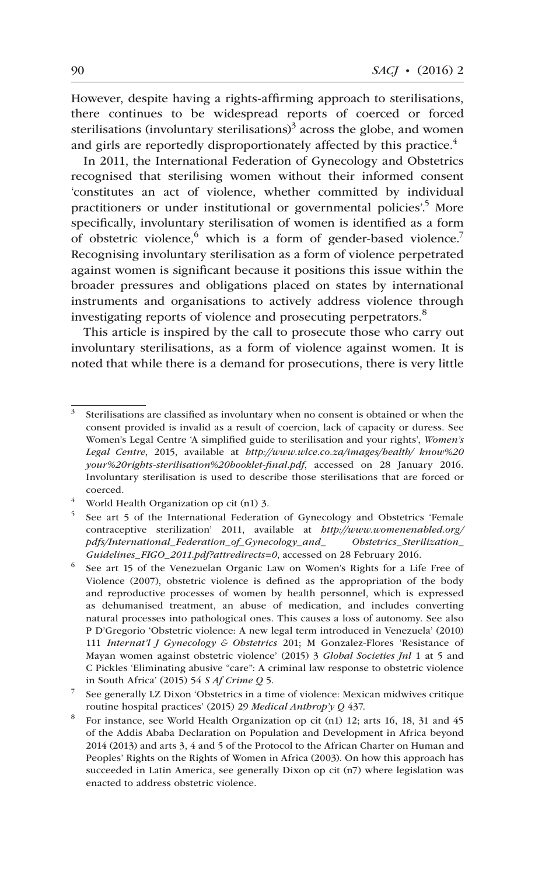However, despite having a rights-affirming approach to sterilisations, there continues to be widespread reports of coerced or forced sterilisations (involuntary sterilisations) $3$  across the globe, and women and girls are reportedly disproportionately affected by this practice.<sup>4</sup>

In 2011, the International Federation of Gynecology and Obstetrics recognised that sterilising women without their informed consent 'constitutes an act of violence, whether committed by individual practitioners or under institutional or governmental policies<sup>'5</sup> More specifically, involuntary sterilisation of women is identified as a form of obstetric violence, which is a form of gender-based violence.<sup>7</sup> Recognising involuntary sterilisation as a form of violence perpetrated against women is significant because it positions this issue within the broader pressures and obligations placed on states by international instruments and organisations to actively address violence through investigating reports of violence and prosecuting perpetrators.<sup>8</sup>

This article is inspired by the call to prosecute those who carry out involuntary sterilisations, as a form of violence against women. It is noted that while there is a demand for prosecutions, there is very little

<sup>4</sup> World Health Organization op cit (n1) 3.

<sup>&</sup>lt;sup>3</sup> Sterilisations are classified as involuntary when no consent is obtained or when the consent provided is invalid as a result of coercion, lack of capacity or duress. See Women's Legal Centre 'A simplified guide to sterilisation and your rights', *Women's Legal Centre*, 2015, available at *http://www.wlce.co.za/images/health/ know%20 your%20rights-sterilisation%20booklet-final.pdf*, accessed on 28 January 2016. Involuntary sterilisation is used to describe those sterilisations that are forced or coerced.

<sup>5</sup> See art 5 of the International Federation of Gynecology and Obstetrics 'Female contraceptive sterilization' 2011, available at *http://www.womenenabled.org/ pdfs/International\_Federation\_of\_Gynecology\_and\_ Obstetrics\_Sterilization\_ Guidelines\_FIGO\_2011.pdf?attredirects=0*, accessed on 28 February 2016.

<sup>6</sup> See art 15 of the Venezuelan Organic Law on Women's Rights for a Life Free of Violence (2007), obstetric violence is defined as the appropriation of the body and reproductive processes of women by health personnel, which is expressed as dehumanised treatment, an abuse of medication, and includes converting natural processes into pathological ones. This causes a loss of autonomy. See also P D'Gregorio 'Obstetric violence: A new legal term introduced in Venezuela' (2010) 111 *Internat'l J Gynecology & Obstetrics* 201; M Gonzalez-Flores 'Resistance of Mayan women against obstetric violence' (2015) 3 *Global Societies Jnl* 1 at 5 and C Pickles 'Eliminating abusive "care": A criminal law response to obstetric violence in South Africa' (2015) 54 *S Af Crime Q* 5.

<sup>7</sup> See generally LZ Dixon 'Obstetrics in a time of violence: Mexican midwives critique routine hospital practices' (2015) 29 *Medical Anthrop'y Q* 437.

<sup>8</sup> For instance, see World Health Organization op cit (n1) 12; arts 16, 18, 31 and 45 of the Addis Ababa Declaration on Population and Development in Africa beyond 2014 (2013) and arts 3, 4 and 5 of the Protocol to the African Charter on Human and Peoples' Rights on the Rights of Women in Africa (2003). On how this approach has succeeded in Latin America, see generally Dixon op cit (n7) where legislation was enacted to address obstetric violence.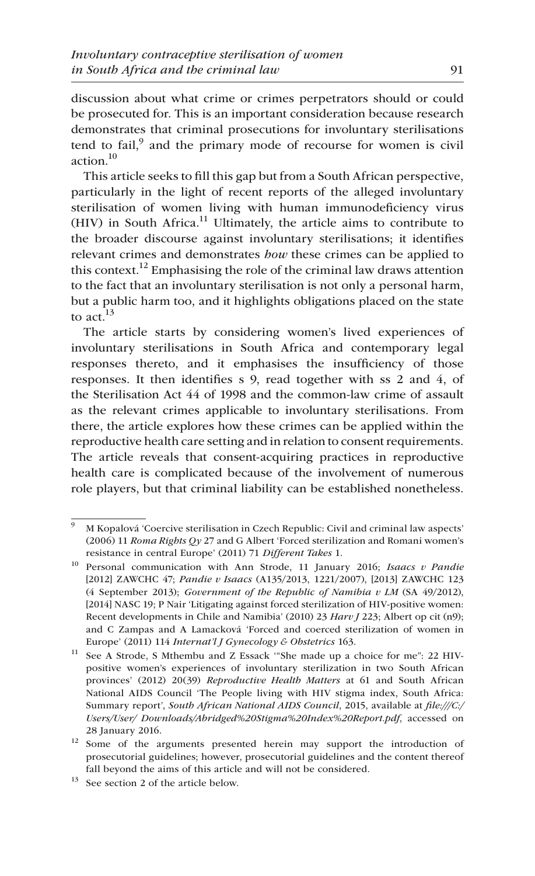discussion about what crime or crimes perpetrators should or could be prosecuted for. This is an important consideration because research demonstrates that criminal prosecutions for involuntary sterilisations tend to fail, $9$  and the primary mode of recourse for women is civil action. $10$ 

This article seeks to fill this gap but from a South African perspective, particularly in the light of recent reports of the alleged involuntary sterilisation of women living with human immunodeficiency virus  $(HIV)$  in South Africa.<sup>11</sup> Ultimately, the article aims to contribute to the broader discourse against involuntary sterilisations; it identifies relevant crimes and demonstrates *how* these crimes can be applied to this context.<sup>12</sup> Emphasising the role of the criminal law draws attention to the fact that an involuntary sterilisation is not only a personal harm, but a public harm too, and it highlights obligations placed on the state to act. $13$ 

The article starts by considering women's lived experiences of involuntary sterilisations in South Africa and contemporary legal responses thereto, and it emphasises the insufficiency of those responses. It then identifies s 9, read together with ss 2 and 4, of the Sterilisation Act 44 of 1998 and the common-law crime of assault as the relevant crimes applicable to involuntary sterilisations. From there, the article explores how these crimes can be applied within the reproductive health care setting and in relation to consent requirements. The article reveals that consent-acquiring practices in reproductive health care is complicated because of the involvement of numerous role players, but that criminal liability can be established nonetheless.

 $\overline{9}$  M Kopalová 'Coercive sterilisation in Czech Republic: Civil and criminal law aspects' (2006) 11 *Roma Rights Qy* 27 and G Albert 'Forced sterilization and Romani women's resistance in central Europe' (2011) 71 *Different Takes* 1.

<sup>10</sup> Personal communication with Ann Strode, 11 January 2016; *Isaacs v Pandie*  [2012] ZAWCHC 47; *Pandie v Isaacs* (A135/2013, 1221/2007), [2013] ZAWCHC 123 (4 September 2013); *Government of the Republic of Namibia v LM* (SA 49/2012), [2014] NASC 19; P Nair 'Litigating against forced sterilization of HIV-positive women: Recent developments in Chile and Namibia' (2010) 23 *Harv J* 223; Albert op cit (n9); and C Zampas and A Lamacková 'Forced and coerced sterilization of women in Europe' (2011) 114 *Internat'l J Gynecology & Obstetrics* 163.

<sup>&</sup>lt;sup>11</sup> See A Strode, S Mthembu and Z Essack "She made up a choice for me": 22 HIVpositive women's experiences of involuntary sterilization in two South African provinces' (2012) 20(39) *Reproductive Health Matters* at 61 and South African National AIDS Council 'The People living with HIV stigma index, South Africa: Summary report', *South African National AIDS Council*, 2015, available at *file:///C:/ Users/User/ Downloads/Abridged%20Stigma%20Index%20Report.pdf*, accessed on 28 January 2016.

<sup>&</sup>lt;sup>12</sup> Some of the arguments presented herein may support the introduction of prosecutorial guidelines; however, prosecutorial guidelines and the content thereof fall beyond the aims of this article and will not be considered.

<sup>13</sup> See section 2 of the article below.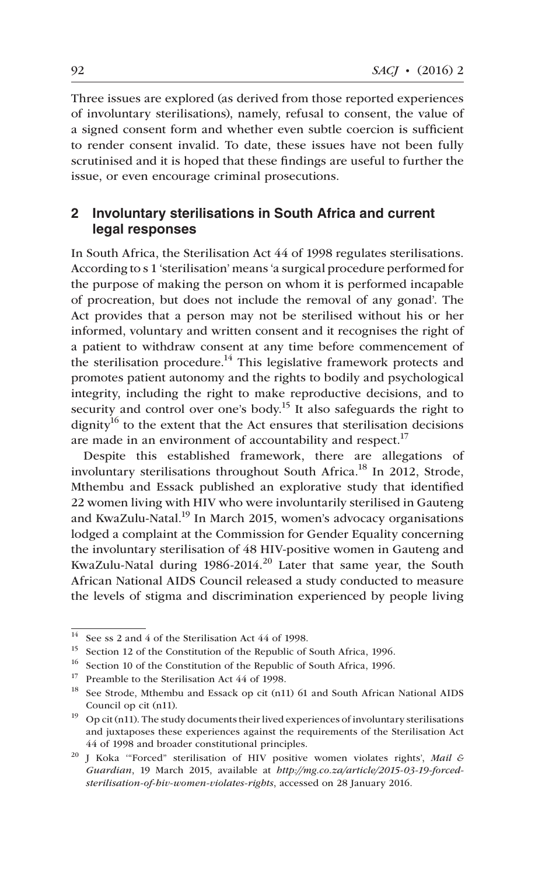Three issues are explored (as derived from those reported experiences of involuntary sterilisations), namely, refusal to consent, the value of a signed consent form and whether even subtle coercion is sufficient to render consent invalid. To date, these issues have not been fully scrutinised and it is hoped that these findings are useful to further the issue, or even encourage criminal prosecutions.

## **2 Involuntary sterilisations in South Africa and current legal responses**

In South Africa, the Sterilisation Act 44 of 1998 regulates sterilisations. According to s 1 'sterilisation' means 'a surgical procedure performed for the purpose of making the person on whom it is performed incapable of procreation, but does not include the removal of any gonad'. The Act provides that a person may not be sterilised without his or her informed, voluntary and written consent and it recognises the right of a patient to withdraw consent at any time before commencement of the sterilisation procedure.<sup>14</sup> This legislative framework protects and promotes patient autonomy and the rights to bodily and psychological integrity, including the right to make reproductive decisions, and to security and control over one's body.<sup>15</sup> It also safeguards the right to dignity<sup>16</sup> to the extent that the Act ensures that sterilisation decisions are made in an environment of accountability and respect.<sup>17</sup>

Despite this established framework, there are allegations of involuntary sterilisations throughout South Africa.<sup>18</sup> In 2012, Strode, Mthembu and Essack published an explorative study that identified 22 women living with HIV who were involuntarily sterilised in Gauteng and KwaZulu-Natal.<sup>19</sup> In March 2015, women's advocacy organisations lodged a complaint at the Commission for Gender Equality concerning the involuntary sterilisation of 48 HIV-positive women in Gauteng and KwaZulu-Natal during  $1986-2014$ <sup>20</sup> Later that same year, the South African National AIDS Council released a study conducted to measure the levels of stigma and discrimination experienced by people living

 $\frac{14}{14}$  See ss 2 and 4 of the Sterilisation Act 44 of 1998.

Section 12 of the Constitution of the Republic of South Africa, 1996.

<sup>&</sup>lt;sup>16</sup> Section 10 of the Constitution of the Republic of South Africa, 1996.

<sup>&</sup>lt;sup>17</sup> Preamble to the Sterilisation Act 44 of 1998.

<sup>&</sup>lt;sup>18</sup> See Strode, Mthembu and Essack op cit (n11) 61 and South African National AIDS Council op cit (n11).

 $19$  Op cit (n11). The study documents their lived experiences of involuntary sterilisations and juxtaposes these experiences against the requirements of the Sterilisation Act 44 of 1998 and broader constitutional principles.

<sup>20</sup> J Koka '"Forced" sterilisation of HIV positive women violates rights', *Mail & Guardian*, 19 March 2015, available at *http://mg.co.za/article/2015-03-19-forcedsterilisation-of-hiv-women-violates-rights*, accessed on 28 January 2016.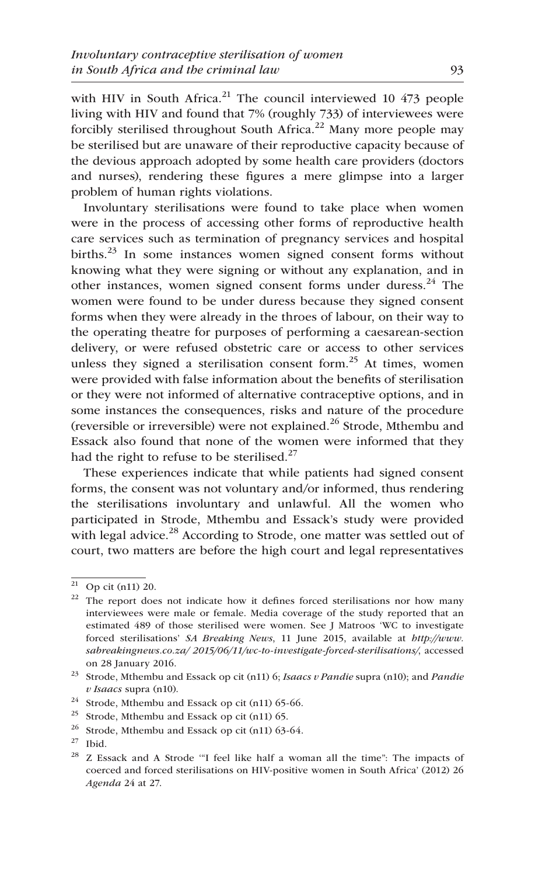with HIV in South Africa.<sup>21</sup> The council interviewed 10  $473$  people living with HIV and found that 7% (roughly 733) of interviewees were forcibly sterilised throughout South Africa.<sup>22</sup> Many more people may be sterilised but are unaware of their reproductive capacity because of the devious approach adopted by some health care providers (doctors and nurses), rendering these figures a mere glimpse into a larger problem of human rights violations.

Involuntary sterilisations were found to take place when women were in the process of accessing other forms of reproductive health care services such as termination of pregnancy services and hospital births.<sup>23</sup> In some instances women signed consent forms without knowing what they were signing or without any explanation, and in other instances, women signed consent forms under duress.<sup>24</sup> The women were found to be under duress because they signed consent forms when they were already in the throes of labour, on their way to the operating theatre for purposes of performing a caesarean-section delivery, or were refused obstetric care or access to other services unless they signed a sterilisation consent form.<sup>25</sup> At times, women were provided with false information about the benefits of sterilisation or they were not informed of alternative contraceptive options, and in some instances the consequences, risks and nature of the procedure (reversible or irreversible) were not explained.<sup>26</sup> Strode, Mthembu and Essack also found that none of the women were informed that they had the right to refuse to be sterilised. $27$ 

These experiences indicate that while patients had signed consent forms, the consent was not voluntary and/or informed, thus rendering the sterilisations involuntary and unlawful. All the women who participated in Strode, Mthembu and Essack's study were provided with legal advice.<sup>28</sup> According to Strode, one matter was settled out of court, two matters are before the high court and legal representatives

Op cit (n11) 20.

 $22$  The report does not indicate how it defines forced sterilisations nor how many interviewees were male or female. Media coverage of the study reported that an estimated 489 of those sterilised were women. See J Matroos 'WC to investigate forced sterilisations' *SA Breaking News*, 11 June 2015, available at *http://www. sabreakingnews.co.za/ 2015/06/11/wc-to-investigate-forced-sterilisations/*, accessed on 28 January 2016.

<sup>23</sup> Strode, Mthembu and Essack op cit (n11) 6; *Isaacs v Pandie* supra (n10); and *Pandie v Isaacs* supra (n10).

 $^{24}$  Strode, Mthembu and Essack op cit (n11) 65-66.

<sup>&</sup>lt;sup>25</sup> Strode, Mthembu and Essack op cit (n11) 65.

 $26$  Strode, Mthembu and Essack op cit (n11) 63-64.

 $27$  Ibid.

 $28$  Z Essack and A Strode "I feel like half a woman all the time": The impacts of coerced and forced sterilisations on HIV-positive women in South Africa' (2012) 26 *Agenda* 24 at 27.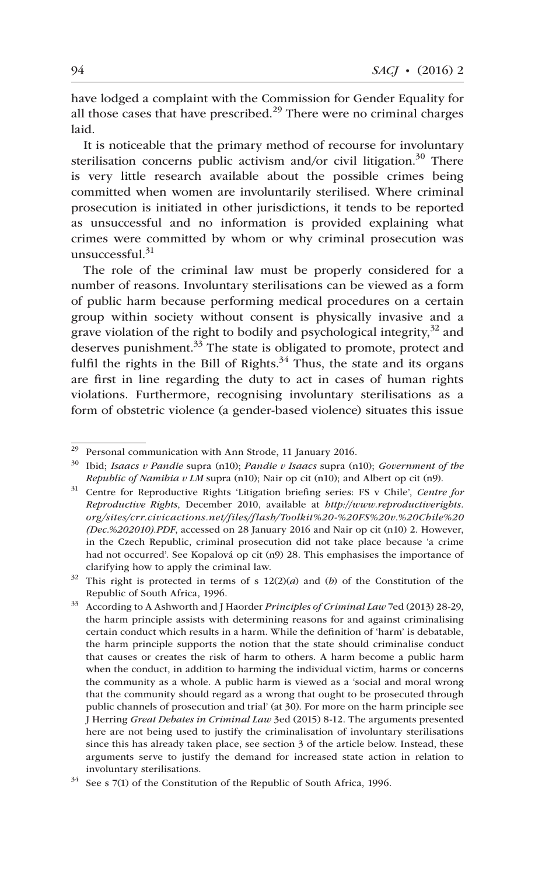have lodged a complaint with the Commission for Gender Equality for all those cases that have prescribed. $^{29}$  There were no criminal charges laid.

It is noticeable that the primary method of recourse for involuntary sterilisation concerns public activism and/or civil litigation.<sup>30</sup> There is very little research available about the possible crimes being committed when women are involuntarily sterilised. Where criminal prosecution is initiated in other jurisdictions, it tends to be reported as unsuccessful and no information is provided explaining what crimes were committed by whom or why criminal prosecution was unsuccessful.<sup>31</sup>

The role of the criminal law must be properly considered for a number of reasons. Involuntary sterilisations can be viewed as a form of public harm because performing medical procedures on a certain group within society without consent is physically invasive and a grave violation of the right to bodily and psychological integrity,  $3^2$  and deserves punishment.<sup>33</sup> The state is obligated to promote, protect and fulfil the rights in the Bill of Rights.<sup>34</sup> Thus, the state and its organs are first in line regarding the duty to act in cases of human rights violations. Furthermore, recognising involuntary sterilisations as a form of obstetric violence (a gender-based violence) situates this issue

<sup>29</sup> Personal communication with Ann Strode, 11 January 2016.

<sup>30</sup> Ibid; *Isaacs v Pandie* supra (n10); *Pandie v Isaacs* supra (n10); *Government of the Republic of Namibia v LM* supra (n10); Nair op cit (n10); and Albert op cit (n9).

<sup>31</sup> Centre for Reproductive Rights 'Litigation briefing series: FS v Chile', *Centre for Reproductive Rights*, December 2010, available at *http:*//*www.reproductiverights. org/sites/crr.civicactions.net/files/flash/Toolkit%20-%20FS%20v.%20Chile%20 (Dec.%202010).PDF*, accessed on 28 January 2016 and Nair op cit (n10) 2. However, in the Czech Republic, criminal prosecution did not take place because 'a crime had not occurred'. See Kopalová op cit (n9) 28. This emphasises the importance of clarifying how to apply the criminal law.

<sup>32</sup> This right is protected in terms of s 12(2)(*a*) and (*b*) of the Constitution of the Republic of South Africa, 1996.

<sup>33</sup> According to A Ashworth and J Haorder *Principles of Criminal Law* 7ed (2013) 28-29, the harm principle assists with determining reasons for and against criminalising certain conduct which results in a harm. While the definition of 'harm' is debatable, the harm principle supports the notion that the state should criminalise conduct that causes or creates the risk of harm to others. A harm become a public harm when the conduct, in addition to harming the individual victim, harms or concerns the community as a whole. A public harm is viewed as a 'social and moral wrong that the community should regard as a wrong that ought to be prosecuted through public channels of prosecution and trial' (at 30). For more on the harm principle see J Herring *Great Debates in Criminal Law* 3ed (2015) 8-12. The arguments presented here are not being used to justify the criminalisation of involuntary sterilisations since this has already taken place, see section 3 of the article below. Instead, these arguments serve to justify the demand for increased state action in relation to involuntary sterilisations.

 $34$  See s 7(1) of the Constitution of the Republic of South Africa, 1996.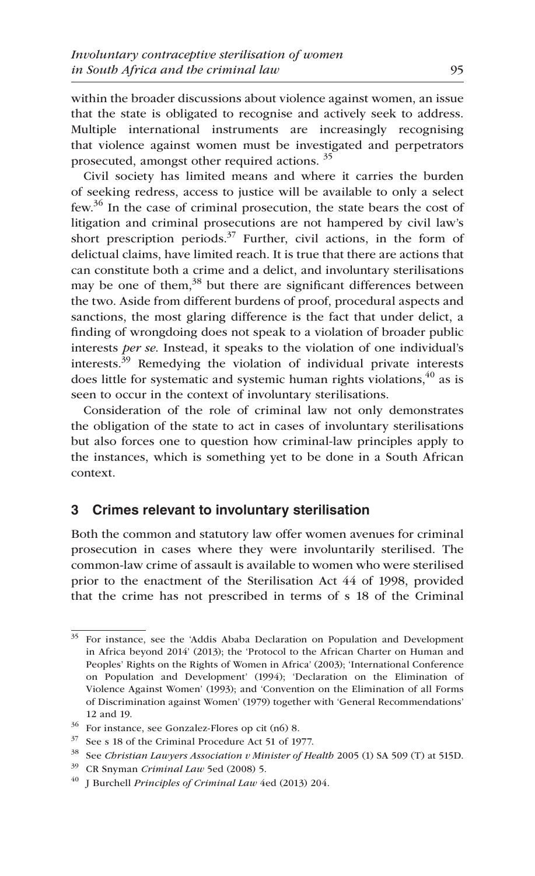within the broader discussions about violence against women, an issue that the state is obligated to recognise and actively seek to address. Multiple international instruments are increasingly recognising that violence against women must be investigated and perpetrators prosecuted, amongst other required actions. <sup>35</sup>

Civil society has limited means and where it carries the burden of seeking redress, access to justice will be available to only a select few.<sup>36</sup> In the case of criminal prosecution, the state bears the cost of litigation and criminal prosecutions are not hampered by civil law's short prescription periods.<sup>37</sup> Further, civil actions, in the form of delictual claims, have limited reach. It is true that there are actions that can constitute both a crime and a delict, and involuntary sterilisations may be one of them, $38$  but there are significant differences between the two. Aside from different burdens of proof, procedural aspects and sanctions, the most glaring difference is the fact that under delict, a finding of wrongdoing does not speak to a violation of broader public interests *per se*. Instead, it speaks to the violation of one individual's interests.<sup>39</sup> Remedying the violation of individual private interests does little for systematic and systemic human rights violations,  $40^\circ$  as is seen to occur in the context of involuntary sterilisations.

Consideration of the role of criminal law not only demonstrates the obligation of the state to act in cases of involuntary sterilisations but also forces one to question how criminal-law principles apply to the instances, which is something yet to be done in a South African context.

## **3 Crimes relevant to involuntary sterilisation**

Both the common and statutory law offer women avenues for criminal prosecution in cases where they were involuntarily sterilised. The common-law crime of assault is available to women who were sterilised prior to the enactment of the Sterilisation Act 44 of 1998, provided that the crime has not prescribed in terms of s 18 of the Criminal

<sup>&</sup>lt;sup>35</sup> For instance, see the 'Addis Ababa Declaration on Population and Development in Africa beyond 2014' (2013); the 'Protocol to the African Charter on Human and Peoples' Rights on the Rights of Women in Africa' (2003); 'International Conference on Population and Development' (1994); 'Declaration on the Elimination of Violence Against Women' (1993); and 'Convention on the Elimination of all Forms of Discrimination against Women' (1979) together with 'General Recommendations' 12 and 19.

<sup>36</sup> For instance, see Gonzalez-Flores op cit (n6) 8.

<sup>37</sup> See s 18 of the Criminal Procedure Act 51 of 1977.

<sup>38</sup> See *Christian Lawyers Association v Minister of Health* 2005 (1) SA 509 (T) at 515D.

<sup>39</sup> CR Snyman *Criminal Law* 5ed (2008) 5.

<sup>40</sup> J Burchell *Principles of Criminal Law* 4ed (2013) 204.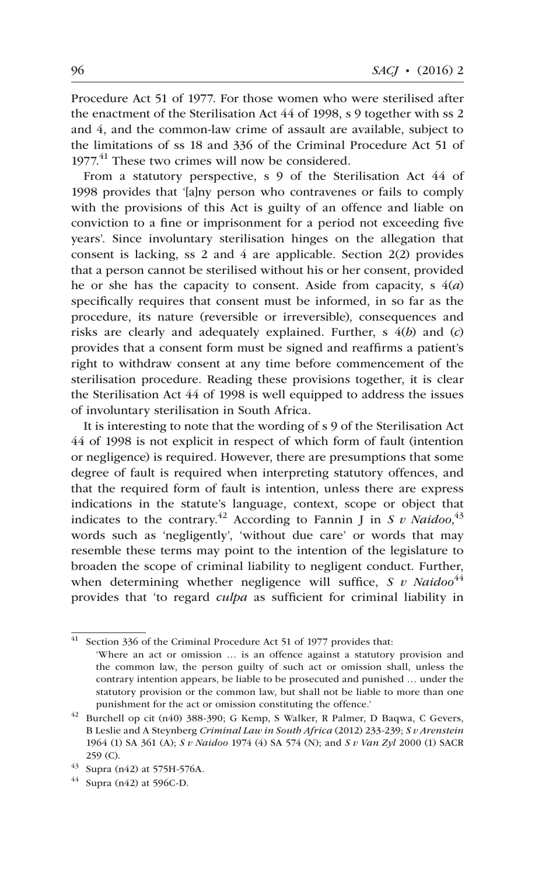Procedure Act 51 of 1977. For those women who were sterilised after the enactment of the Sterilisation Act 44 of 1998, s 9 together with ss 2 and 4, and the common-law crime of assault are available, subject to the limitations of ss 18 and 336 of the Criminal Procedure Act 51 of 1977.<sup>41</sup> These two crimes will now be considered.

From a statutory perspective, s 9 of the Sterilisation Act 44 of 1998 provides that '[a]ny person who contravenes or fails to comply with the provisions of this Act is guilty of an offence and liable on conviction to a fine or imprisonment for a period not exceeding five years'. Since involuntary sterilisation hinges on the allegation that consent is lacking, ss 2 and 4 are applicable. Section 2(2) provides that a person cannot be sterilised without his or her consent, provided he or she has the capacity to consent. Aside from capacity, s 4(*a*) specifically requires that consent must be informed, in so far as the procedure, its nature (reversible or irreversible), consequences and risks are clearly and adequately explained. Further, s 4(*b*) and (*c*) provides that a consent form must be signed and reaffirms a patient's right to withdraw consent at any time before commencement of the sterilisation procedure. Reading these provisions together, it is clear the Sterilisation Act 44 of 1998 is well equipped to address the issues of involuntary sterilisation in South Africa.

It is interesting to note that the wording of s 9 of the Sterilisation Act 44 of 1998 is not explicit in respect of which form of fault (intention or negligence) is required. However, there are presumptions that some degree of fault is required when interpreting statutory offences, and that the required form of fault is intention, unless there are express indications in the statute's language, context, scope or object that indicates to the contrary.<sup>42</sup> According to Fannin J in *S v Naidoo*,<sup>43</sup> words such as 'negligently', 'without due care' or words that may resemble these terms may point to the intention of the legislature to broaden the scope of criminal liability to negligent conduct. Further, when determining whether negligence will suffice, *S v Naidoo*<sup>44</sup> provides that 'to regard *culpa* as sufficient for criminal liability in

 $41$  Section 336 of the Criminal Procedure Act 51 of 1977 provides that: 'Where an act or omission … is an offence against a statutory provision and the common law, the person guilty of such act or omission shall, unless the contrary intention appears, be liable to be prosecuted and punished … under the statutory provision or the common law, but shall not be liable to more than one punishment for the act or omission constituting the offence.'

 $42$  Burchell op cit (n40) 388-390; G Kemp, S Walker, R Palmer, D Baqwa, C Gevers, B Leslie and A Steynberg *Criminal Law in South Africa* (2012) 233-239; *S v Arenstein* 1964 (1) SA 361 (A); *S v Naidoo* 1974 (4) SA 574 (N); and *S v Van Zyl* 2000 (1) SACR 259 (C).

 $43$  Supra (n42) at 575H-576A.

 $44$  Supra (n42) at 596C-D.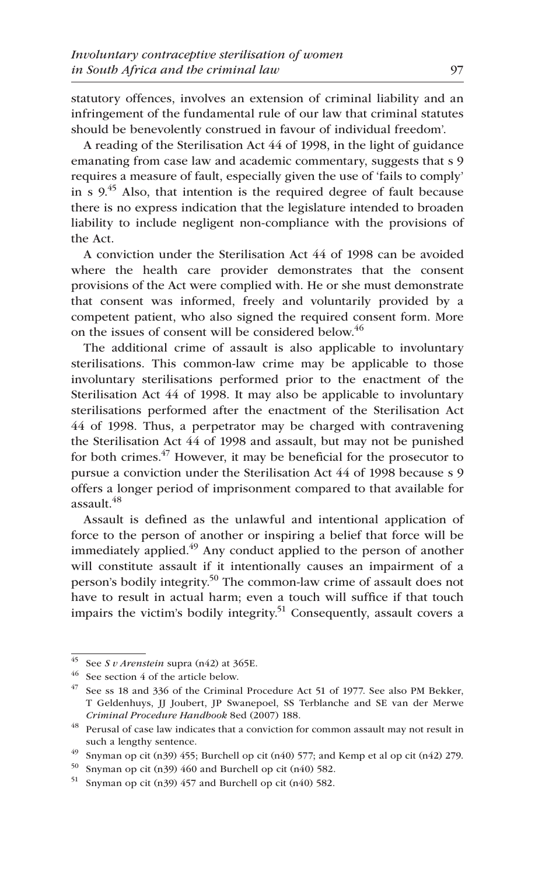statutory offences, involves an extension of criminal liability and an infringement of the fundamental rule of our law that criminal statutes should be benevolently construed in favour of individual freedom'.

A reading of the Sterilisation Act 44 of 1998, in the light of guidance emanating from case law and academic commentary, suggests that s 9 requires a measure of fault, especially given the use of 'fails to comply' in s  $9<sup>45</sup>$  Also, that intention is the required degree of fault because there is no express indication that the legislature intended to broaden liability to include negligent non-compliance with the provisions of the Act.

A conviction under the Sterilisation Act 44 of 1998 can be avoided where the health care provider demonstrates that the consent provisions of the Act were complied with. He or she must demonstrate that consent was informed, freely and voluntarily provided by a competent patient, who also signed the required consent form. More on the issues of consent will be considered below.<sup>46</sup>

The additional crime of assault is also applicable to involuntary sterilisations. This common-law crime may be applicable to those involuntary sterilisations performed prior to the enactment of the Sterilisation Act 44 of 1998. It may also be applicable to involuntary sterilisations performed after the enactment of the Sterilisation Act 44 of 1998. Thus, a perpetrator may be charged with contravening the Sterilisation Act 44 of 1998 and assault, but may not be punished for both crimes. $47$  However, it may be beneficial for the prosecutor to pursue a conviction under the Sterilisation Act 44 of 1998 because s 9 offers a longer period of imprisonment compared to that available for assault. $48$ 

Assault is defined as the unlawful and intentional application of force to the person of another or inspiring a belief that force will be immediately applied. $49$  Any conduct applied to the person of another will constitute assault if it intentionally causes an impairment of a person's bodily integrity.<sup>50</sup> The common-law crime of assault does not have to result in actual harm; even a touch will suffice if that touch impairs the victim's bodily integrity.<sup>51</sup> Consequently, assault covers a

<sup>45</sup> See *S v Arenstein* supra (n42) at 365E.

<sup>46</sup> See section 4 of the article below.

 $47$  See ss 18 and 336 of the Criminal Procedure Act 51 of 1977. See also PM Bekker, T Geldenhuys, JJ Joubert, JP Swanepoel, SS Terblanche and SE van der Merwe *Criminal Procedure Handbook* 8ed (2007) 188.

 $^{48}\,$  Perusal of case law indicates that a conviction for common assault may not result in such a lengthy sentence.

<sup>&</sup>lt;sup>49</sup> Snyman op cit (n39) 455; Burchell op cit (n40) 577; and Kemp et al op cit (n42) 279.

 $50$  Snyman op cit (n39) 460 and Burchell op cit (n40) 582.

<sup>51</sup> Snyman op cit (n39) 457 and Burchell op cit (n40) 582.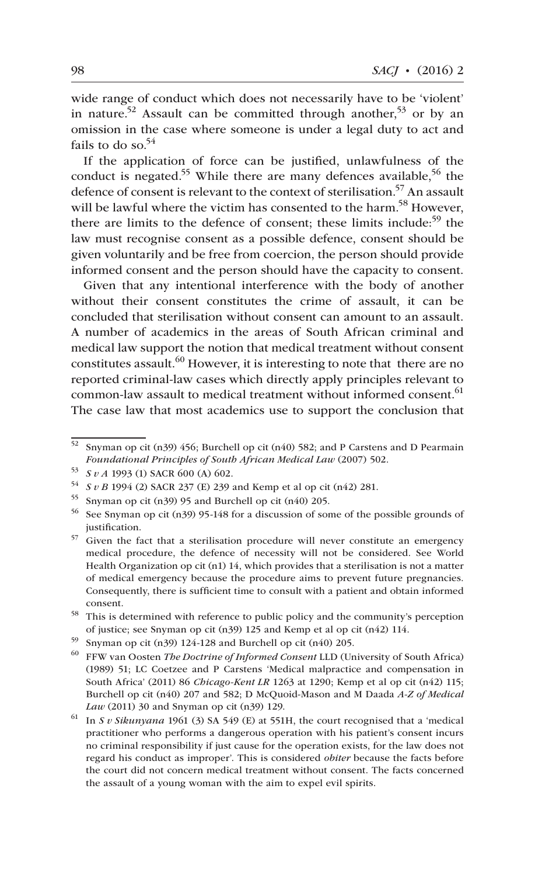wide range of conduct which does not necessarily have to be 'violent' in nature.<sup>52</sup> Assault can be committed through another,<sup>53</sup> or by an omission in the case where someone is under a legal duty to act and fails to do so. $54$ 

If the application of force can be justified, unlawfulness of the conduct is negated.<sup>55</sup> While there are many defences available,<sup>56</sup> the defence of consent is relevant to the context of sterilisation.<sup>57</sup> An assault will be lawful where the victim has consented to the harm.<sup>58</sup> However, there are limits to the defence of consent; these limits include:<sup>59</sup> the law must recognise consent as a possible defence, consent should be given voluntarily and be free from coercion, the person should provide informed consent and the person should have the capacity to consent.

Given that any intentional interference with the body of another without their consent constitutes the crime of assault, it can be concluded that sterilisation without consent can amount to an assault. A number of academics in the areas of South African criminal and medical law support the notion that medical treatment without consent constitutes assault.<sup>60</sup> However, it is interesting to note that there are no reported criminal-law cases which directly apply principles relevant to common-law assault to medical treatment without informed consent.<sup>61</sup> The case law that most academics use to support the conclusion that

<sup>52</sup> Snyman op cit (n39) 456; Burchell op cit (n40) 582; and P Carstens and D Pearmain *Foundational Principles of South African Medical Law* (2007) 502.

<sup>53</sup> *S v A* 1993 (1) SACR 600 (A) 602.

<sup>54</sup> *S v B* 1994 (2) SACR 237 (E) 239 and Kemp et al op cit (n42) 281.

<sup>55</sup> Snyman op cit (n39) 95 and Burchell op cit (n40) 205.

<sup>56</sup> See Snyman op cit (n39) 95-148 for a discussion of some of the possible grounds of justification.

<sup>57</sup> Given the fact that a sterilisation procedure will never constitute an emergency medical procedure, the defence of necessity will not be considered. See World Health Organization op cit (n1) 14, which provides that a sterilisation is not a matter of medical emergency because the procedure aims to prevent future pregnancies. Consequently, there is sufficient time to consult with a patient and obtain informed consent.

 $^{58}\,$  This is determined with reference to public policy and the community's perception of justice; see Snyman op cit (n39) 125 and Kemp et al op cit (n42) 114.

<sup>59</sup> Snyman op cit (n39) 124-128 and Burchell op cit (n40) 205.

<sup>60</sup> FFW van Oosten *The Doctrine of Informed Consent* LLD (University of South Africa) (1989) 51; LC Coetzee and P Carstens 'Medical malpractice and compensation in South Africa' (2011) 86 *Chicago-Kent LR* 1263 at 1290; Kemp et al op cit (n42) 115; Burchell op cit (n40) 207 and 582; D McQuoid-Mason and M Daada *A-Z of Medical Law* (2011) 30 and Snyman op cit (n39) 129.

<sup>61</sup> In *S v Sikunyana* 1961 (3) SA 549 (E) at 551H, the court recognised that a 'medical practitioner who performs a dangerous operation with his patient's consent incurs no criminal responsibility if just cause for the operation exists, for the law does not regard his conduct as improper'. This is considered *obiter* because the facts before the court did not concern medical treatment without consent. The facts concerned the assault of a young woman with the aim to expel evil spirits.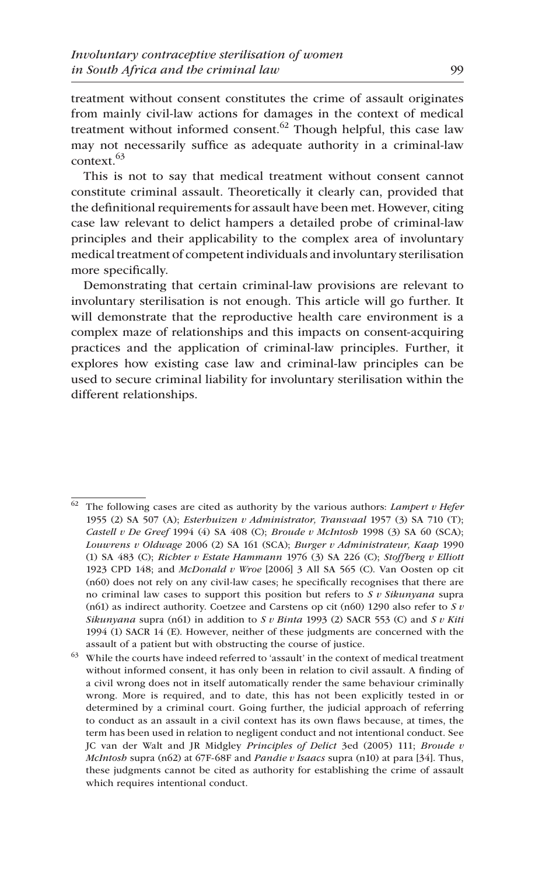treatment without consent constitutes the crime of assault originates from mainly civil-law actions for damages in the context of medical treatment without informed consent. $62$  Though helpful, this case law may not necessarily suffice as adequate authority in a criminal-law context.63

This is not to say that medical treatment without consent cannot constitute criminal assault. Theoretically it clearly can, provided that the definitional requirements for assault have been met. However, citing case law relevant to delict hampers a detailed probe of criminal-law principles and their applicability to the complex area of involuntary medical treatment of competent individuals and involuntary sterilisation more specifically.

Demonstrating that certain criminal-law provisions are relevant to involuntary sterilisation is not enough. This article will go further. It will demonstrate that the reproductive health care environment is a complex maze of relationships and this impacts on consent-acquiring practices and the application of criminal-law principles. Further, it explores how existing case law and criminal-law principles can be used to secure criminal liability for involuntary sterilisation within the different relationships.

<sup>62</sup> The following cases are cited as authority by the various authors: *Lampert v Hefer* 1955 (2) SA 507 (A); *Esterhuizen v Administrator, Transvaal* 1957 (3) SA 710 (T); *Castell v De Greef* 1994 (4) SA 408 (C); *Broude v McIntosh* 1998 (3) SA 60 (SCA); *Louwrens v Oldwage* 2006 (2) SA 161 (SCA); *Burger v Administrateur, Kaap* 1990 (1) SA 483 (C); *Richter v Estate Hammann* 1976 (3) SA 226 (C); *Stoffberg v Elliott* 1923 CPD 148; and *McDonald v Wroe* [2006] 3 All SA 565 (C). Van Oosten op cit (n60) does not rely on any civil-law cases; he specifically recognises that there are no criminal law cases to support this position but refers to *S v Sikunyana* supra (n61) as indirect authority. Coetzee and Carstens op cit (n60) 1290 also refer to *S v Sikunyana* supra (n61) in addition to *S v Binta* 1993 (2) SACR 553 (C) and *S v Kiti*  1994 (1) SACR 14 (E). However, neither of these judgments are concerned with the assault of a patient but with obstructing the course of justice.

 $^{63}\;$  While the courts have indeed referred to 'assault' in the context of medical treatment without informed consent, it has only been in relation to civil assault. A finding of a civil wrong does not in itself automatically render the same behaviour criminally wrong. More is required, and to date, this has not been explicitly tested in or determined by a criminal court. Going further, the judicial approach of referring to conduct as an assault in a civil context has its own flaws because, at times, the term has been used in relation to negligent conduct and not intentional conduct. See JC van der Walt and JR Midgley *Principles of Delict* 3ed (2005) 111; *Broude v McIntosh* supra (n62) at 67F-68F and *Pandie v Isaacs* supra (n10) at para [34]. Thus, these judgments cannot be cited as authority for establishing the crime of assault which requires intentional conduct.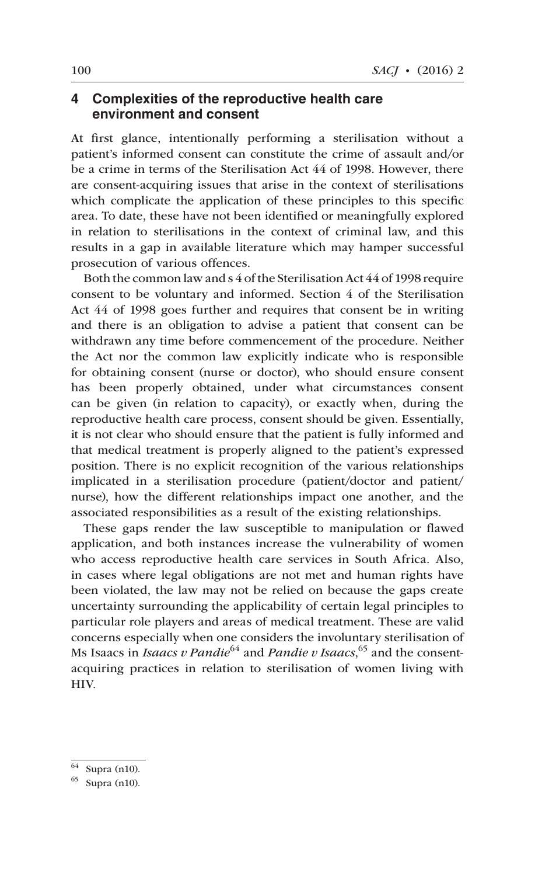#### **4 Complexities of the reproductive health care environment and consent**

At first glance, intentionally performing a sterilisation without a patient's informed consent can constitute the crime of assault and/or be a crime in terms of the Sterilisation Act 44 of 1998. However, there are consent-acquiring issues that arise in the context of sterilisations which complicate the application of these principles to this specific area. To date, these have not been identified or meaningfully explored in relation to sterilisations in the context of criminal law, and this results in a gap in available literature which may hamper successful prosecution of various offences.

Both the common law and s 4 of the Sterilisation Act 44 of 1998 require consent to be voluntary and informed. Section 4 of the Sterilisation Act 44 of 1998 goes further and requires that consent be in writing and there is an obligation to advise a patient that consent can be withdrawn any time before commencement of the procedure. Neither the Act nor the common law explicitly indicate who is responsible for obtaining consent (nurse or doctor), who should ensure consent has been properly obtained, under what circumstances consent can be given (in relation to capacity), or exactly when, during the reproductive health care process, consent should be given. Essentially, it is not clear who should ensure that the patient is fully informed and that medical treatment is properly aligned to the patient's expressed position. There is no explicit recognition of the various relationships implicated in a sterilisation procedure (patient/doctor and patient/ nurse), how the different relationships impact one another, and the associated responsibilities as a result of the existing relationships.

These gaps render the law susceptible to manipulation or flawed application, and both instances increase the vulnerability of women who access reproductive health care services in South Africa. Also, in cases where legal obligations are not met and human rights have been violated, the law may not be relied on because the gaps create uncertainty surrounding the applicability of certain legal principles to particular role players and areas of medical treatment. These are valid concerns especially when one considers the involuntary sterilisation of Ms Isaacs in *Isaacs v Pandie*64 and *Pandie v Isaacs*, 65 and the consentacquiring practices in relation to sterilisation of women living with HIV.

Supra  $(n10)$ .

<sup>65</sup> Supra (n10).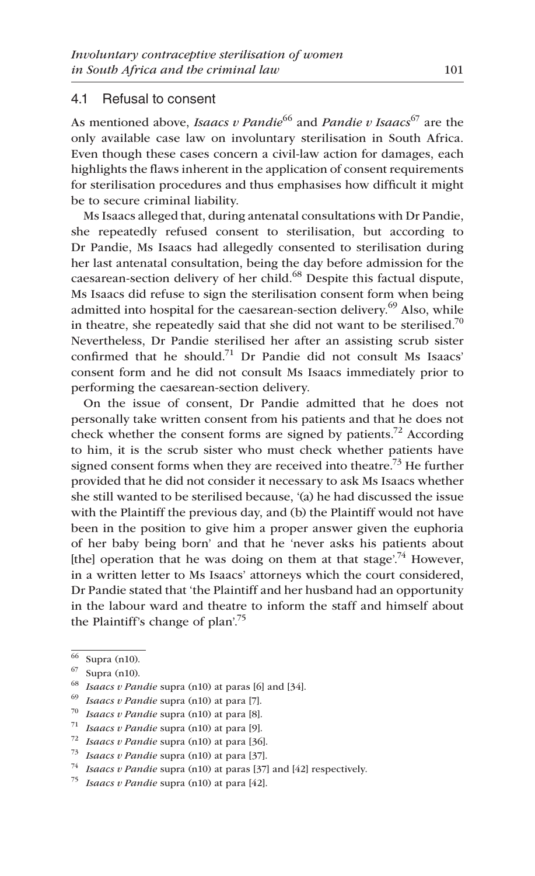#### 4.1 Refusal to consent

As mentioned above, *Isaacs v Pandie*<sup>66</sup> and *Pandie v Isaacs*<sup>67</sup> are the only available case law on involuntary sterilisation in South Africa. Even though these cases concern a civil-law action for damages, each highlights the flaws inherent in the application of consent requirements for sterilisation procedures and thus emphasises how difficult it might be to secure criminal liability.

Ms Isaacs alleged that, during antenatal consultations with Dr Pandie, she repeatedly refused consent to sterilisation, but according to Dr Pandie, Ms Isaacs had allegedly consented to sterilisation during her last antenatal consultation, being the day before admission for the caesarean-section delivery of her child.<sup>68</sup> Despite this factual dispute, Ms Isaacs did refuse to sign the sterilisation consent form when being admitted into hospital for the caesarean-section delivery.<sup>69</sup> Also, while in theatre, she repeatedly said that she did not want to be sterilised.<sup>70</sup> Nevertheless, Dr Pandie sterilised her after an assisting scrub sister confirmed that he should.71 Dr Pandie did not consult Ms Isaacs' consent form and he did not consult Ms Isaacs immediately prior to performing the caesarean-section delivery.

On the issue of consent, Dr Pandie admitted that he does not personally take written consent from his patients and that he does not check whether the consent forms are signed by patients.<sup>72</sup> According to him, it is the scrub sister who must check whether patients have signed consent forms when they are received into theatre.<sup>73</sup> He further provided that he did not consider it necessary to ask Ms Isaacs whether she still wanted to be sterilised because, '(a) he had discussed the issue with the Plaintiff the previous day, and (b) the Plaintiff would not have been in the position to give him a proper answer given the euphoria of her baby being born' and that he 'never asks his patients about [the] operation that he was doing on them at that stage<sup> $74$ </sup> However, in a written letter to Ms Isaacs' attorneys which the court considered, Dr Pandie stated that 'the Plaintiff and her husband had an opportunity in the labour ward and theatre to inform the staff and himself about the Plaintiff's change of plan'.75

 $\overline{66}$  Supra (n10).

<sup>67</sup> Supra (n10).

<sup>68</sup> *Isaacs v Pandie* supra (n10) at paras [6] and [34].

<sup>69</sup> *Isaacs v Pandie* supra (n10) at para [7].

<sup>70</sup> *Isaacs v Pandie* supra (n10) at para [8].

<sup>71</sup> *Isaacs v Pandie* supra (n10) at para [9].

<sup>72</sup> *Isaacs v Pandie* supra (n10) at para [36].

<sup>73</sup> *Isaacs v Pandie* supra (n10) at para [37].

*Isaacs v Pandie* supra (n10) at paras [37] and [42] respectively.

<sup>75</sup> *Isaacs v Pandie* supra (n10) at para [42].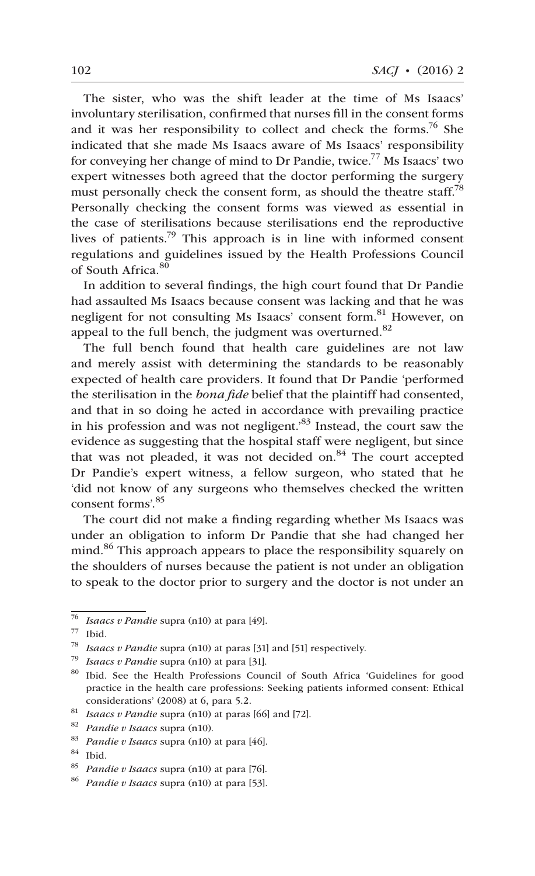The sister, who was the shift leader at the time of Ms Isaacs' involuntary sterilisation, confirmed that nurses fill in the consent forms and it was her responsibility to collect and check the forms.<sup>76</sup> She indicated that she made Ms Isaacs aware of Ms Isaacs' responsibility for conveying her change of mind to Dr Pandie, twice.<sup>77</sup> Ms Isaacs' two expert witnesses both agreed that the doctor performing the surgery must personally check the consent form, as should the theatre staff.<sup>78</sup> Personally checking the consent forms was viewed as essential in the case of sterilisations because sterilisations end the reproductive lives of patients.<sup>79</sup> This approach is in line with informed consent regulations and guidelines issued by the Health Professions Council of South Africa.<sup>80</sup>

In addition to several findings, the high court found that Dr Pandie had assaulted Ms Isaacs because consent was lacking and that he was negligent for not consulting Ms Isaacs' consent form.<sup>81</sup> However, on appeal to the full bench, the judgment was overturned. $82$ 

The full bench found that health care guidelines are not law and merely assist with determining the standards to be reasonably expected of health care providers. It found that Dr Pandie 'performed the sterilisation in the *bona fide* belief that the plaintiff had consented, and that in so doing he acted in accordance with prevailing practice in his profession and was not negligent.<sup>83</sup> Instead, the court saw the evidence as suggesting that the hospital staff were negligent, but since that was not pleaded, it was not decided on. $84$  The court accepted Dr Pandie's expert witness, a fellow surgeon, who stated that he 'did not know of any surgeons who themselves checked the written consent forms'.<sup>85</sup>

The court did not make a finding regarding whether Ms Isaacs was under an obligation to inform Dr Pandie that she had changed her mind.<sup>86</sup> This approach appears to place the responsibility squarely on the shoulders of nurses because the patient is not under an obligation to speak to the doctor prior to surgery and the doctor is not under an

<sup>76</sup> *Isaacs v Pandie* supra (n10) at para [49].

<sup>77</sup> Ibid.

<sup>78</sup> *Isaacs v Pandie* supra (n10) at paras [31] and [51] respectively.

<sup>79</sup> *Isaacs v Pandie* supra (n10) at para [31].

<sup>80</sup> Ibid. See the Health Professions Council of South Africa 'Guidelines for good practice in the health care professions: Seeking patients informed consent: Ethical considerations' (2008) at 6, para 5.2.

<sup>81</sup> *Isaacs v Pandie* supra (n10) at paras [66] and [72].

<sup>82</sup> *Pandie v Isaacs* supra (n10).

<sup>83</sup> *Pandie v Isaacs* supra (n10) at para [46].

<sup>84</sup> Ibid.

<sup>85</sup> *Pandie v Isaacs* supra (n10) at para [76].

<sup>86</sup> *Pandie v Isaacs* supra (n10) at para [53].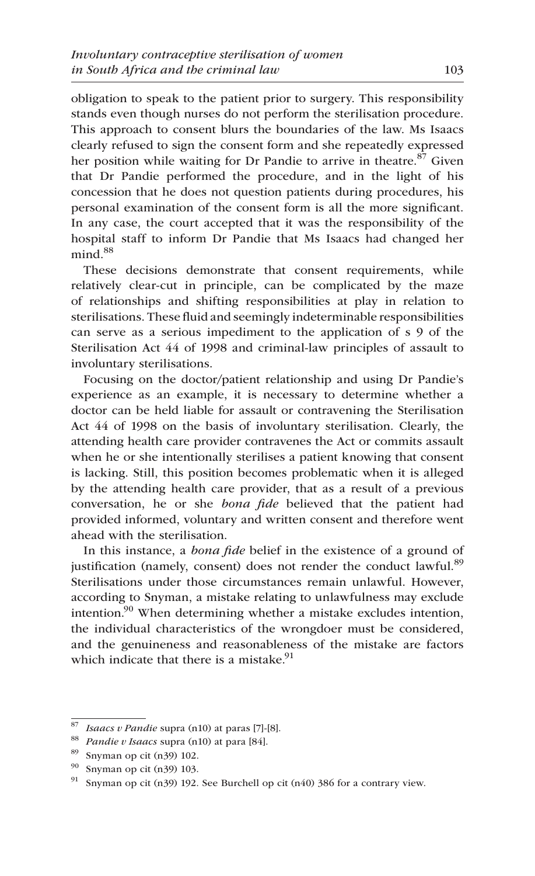obligation to speak to the patient prior to surgery. This responsibility stands even though nurses do not perform the sterilisation procedure. This approach to consent blurs the boundaries of the law. Ms Isaacs clearly refused to sign the consent form and she repeatedly expressed her position while waiting for Dr Pandie to arrive in theatre.<sup>87</sup> Given that Dr Pandie performed the procedure, and in the light of his concession that he does not question patients during procedures, his personal examination of the consent form is all the more significant. In any case, the court accepted that it was the responsibility of the hospital staff to inform Dr Pandie that Ms Isaacs had changed her  $mind.<sup>88</sup>$ 

These decisions demonstrate that consent requirements, while relatively clear-cut in principle, can be complicated by the maze of relationships and shifting responsibilities at play in relation to sterilisations. These fluid and seemingly indeterminable responsibilities can serve as a serious impediment to the application of s 9 of the Sterilisation Act 44 of 1998 and criminal-law principles of assault to involuntary sterilisations.

Focusing on the doctor/patient relationship and using Dr Pandie's experience as an example, it is necessary to determine whether a doctor can be held liable for assault or contravening the Sterilisation Act 44 of 1998 on the basis of involuntary sterilisation. Clearly, the attending health care provider contravenes the Act or commits assault when he or she intentionally sterilises a patient knowing that consent is lacking. Still, this position becomes problematic when it is alleged by the attending health care provider, that as a result of a previous conversation, he or she *bona fide* believed that the patient had provided informed, voluntary and written consent and therefore went ahead with the sterilisation.

In this instance, a *bona fide* belief in the existence of a ground of justification (namely, consent) does not render the conduct lawful.<sup>89</sup> Sterilisations under those circumstances remain unlawful. However, according to Snyman, a mistake relating to unlawfulness may exclude intention.<sup>90</sup> When determining whether a mistake excludes intention, the individual characteristics of the wrongdoer must be considered, and the genuineness and reasonableness of the mistake are factors which indicate that there is a mistake.<sup>91</sup>

<sup>87</sup> *Isaacs v Pandie* supra (n10) at paras [7]-[8].

<sup>88</sup> *Pandie v Isaacs* supra (n10) at para [84].

Snyman op cit (n39) 102.

<sup>90</sup> Snyman op cit (n39) 103.

<sup>&</sup>lt;sup>91</sup> Snyman op cit (n39) 192. See Burchell op cit (n40) 386 for a contrary view.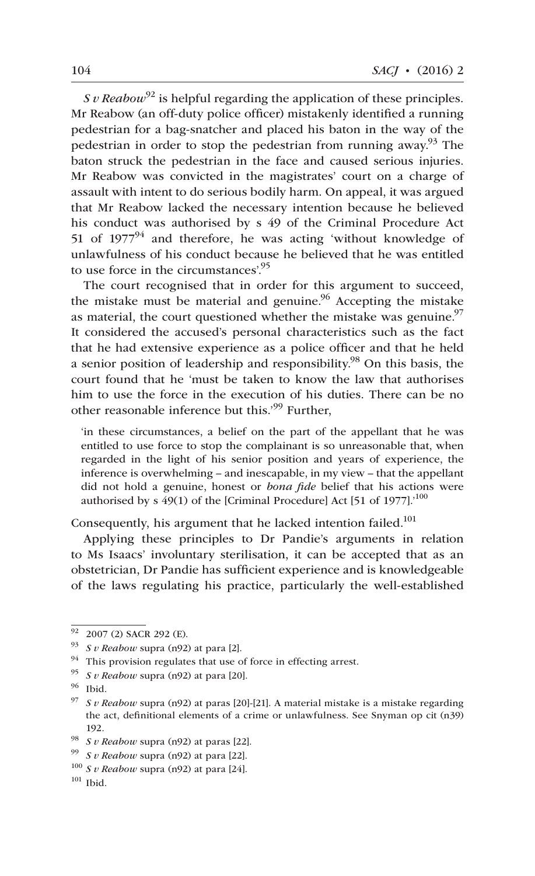*S v Reabow*<sup>92</sup> is helpful regarding the application of these principles. Mr Reabow (an off-duty police officer) mistakenly identified a running pedestrian for a bag-snatcher and placed his baton in the way of the pedestrian in order to stop the pedestrian from running away.<sup>93</sup> The baton struck the pedestrian in the face and caused serious injuries. Mr Reabow was convicted in the magistrates' court on a charge of assault with intent to do serious bodily harm. On appeal, it was argued that Mr Reabow lacked the necessary intention because he believed his conduct was authorised by s 49 of the Criminal Procedure Act 51 of  $1977<sup>94</sup>$  and therefore, he was acting 'without knowledge of unlawfulness of his conduct because he believed that he was entitled to use force in the circumstances'.<sup>95</sup>

The court recognised that in order for this argument to succeed, the mistake must be material and genuine.<sup>96</sup> Accepting the mistake as material, the court questioned whether the mistake was genuine. $97$ It considered the accused's personal characteristics such as the fact that he had extensive experience as a police officer and that he held a senior position of leadership and responsibility.<sup>98</sup> On this basis, the court found that he 'must be taken to know the law that authorises him to use the force in the execution of his duties. There can be no other reasonable inference but this.'99 Further,

'in these circumstances, a belief on the part of the appellant that he was entitled to use force to stop the complainant is so unreasonable that, when regarded in the light of his senior position and years of experience, the inference is overwhelming – and inescapable, in my view – that the appellant did not hold a genuine, honest or *bona fide* belief that his actions were authorised by s  $49(1)$  of the [Criminal Procedure] Act [51 of 1977].<sup>'100</sup>

Consequently, his argument that he lacked intention failed.<sup>101</sup>

Applying these principles to Dr Pandie's arguments in relation to Ms Isaacs' involuntary sterilisation, it can be accepted that as an obstetrician, Dr Pandie has sufficient experience and is knowledgeable of the laws regulating his practice, particularly the well-established

 $\frac{92}{92}$  2007 (2) SACR 292 (E).

<sup>93</sup> *S v Reabow* supra (n92) at para [2].

 $94$  This provision regulates that use of force in effecting arrest.

<sup>95</sup> *S v Reabow* supra (n92) at para [20].

<sup>96</sup> Ibid.

<sup>97</sup> *S v Reabow* supra (n92) at paras [20]-[21]. A material mistake is a mistake regarding the act, definitional elements of a crime or unlawfulness. See Snyman op cit (n39) 192.

<sup>98</sup> *S v Reabow* supra (n92) at paras [22].

<sup>99</sup> *S v Reabow* supra (n92) at para [22].

 $100$  *S v Reabow* supra (n92) at para [24].

 $101$  Ibid.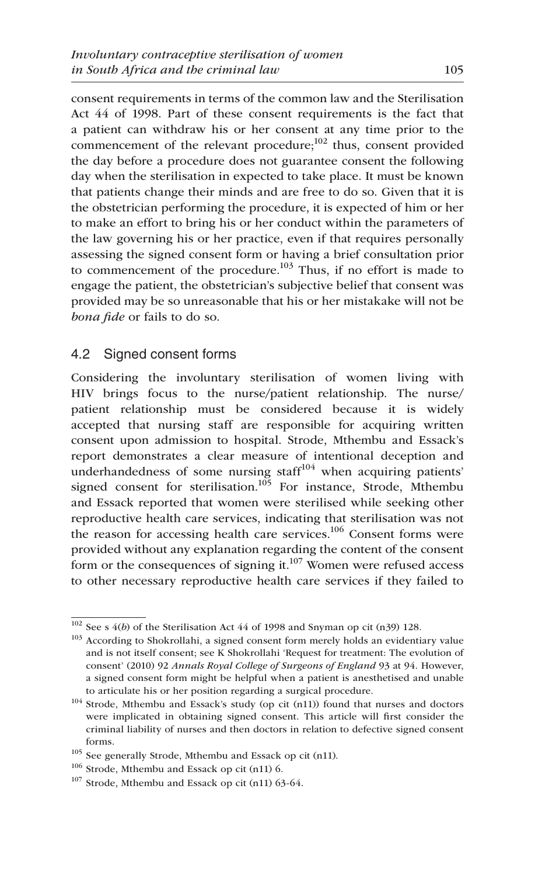consent requirements in terms of the common law and the Sterilisation Act 44 of 1998. Part of these consent requirements is the fact that a patient can withdraw his or her consent at any time prior to the commencement of the relevant procedure; $^{102}$  thus, consent provided the day before a procedure does not guarantee consent the following day when the sterilisation in expected to take place. It must be known that patients change their minds and are free to do so. Given that it is the obstetrician performing the procedure, it is expected of him or her to make an effort to bring his or her conduct within the parameters of the law governing his or her practice, even if that requires personally assessing the signed consent form or having a brief consultation prior to commencement of the procedure.<sup>103</sup> Thus, if no effort is made to engage the patient, the obstetrician's subjective belief that consent was provided may be so unreasonable that his or her mistakake will not be *bona fide* or fails to do so.

# 4.2 Signed consent forms

Considering the involuntary sterilisation of women living with HIV brings focus to the nurse/patient relationship. The nurse/ patient relationship must be considered because it is widely accepted that nursing staff are responsible for acquiring written consent upon admission to hospital. Strode, Mthembu and Essack's report demonstrates a clear measure of intentional deception and underhandedness of some nursing staff<sup>104</sup> when acquiring patients' signed consent for sterilisation.<sup>105</sup> For instance, Strode, Mthembu and Essack reported that women were sterilised while seeking other reproductive health care services, indicating that sterilisation was not the reason for accessing health care services. $106$  Consent forms were provided without any explanation regarding the content of the consent form or the consequences of signing it.<sup>107</sup> Women were refused access to other necessary reproductive health care services if they failed to

 $102$  See s  $4(b)$  of the Sterilisation Act  $44$  of 1998 and Snyman op cit (n39) 128.

<sup>&</sup>lt;sup>103</sup> According to Shokrollahi, a signed consent form merely holds an evidentiary value and is not itself consent; see K Shokrollahi 'Request for treatment: The evolution of consent' (2010) 92 *Annals Royal College of Surgeons of England* 93 at 94. However, a signed consent form might be helpful when a patient is anesthetised and unable to articulate his or her position regarding a surgical procedure.

 $104$  Strode, Mthembu and Essack's study (op cit (n11)) found that nurses and doctors were implicated in obtaining signed consent. This article will first consider the criminal liability of nurses and then doctors in relation to defective signed consent forms.

<sup>105</sup> See generally Strode, Mthembu and Essack op cit (n11).

<sup>106</sup> Strode, Mthembu and Essack op cit (n11) 6.

<sup>107</sup> Strode, Mthembu and Essack op cit (n11) 63-64.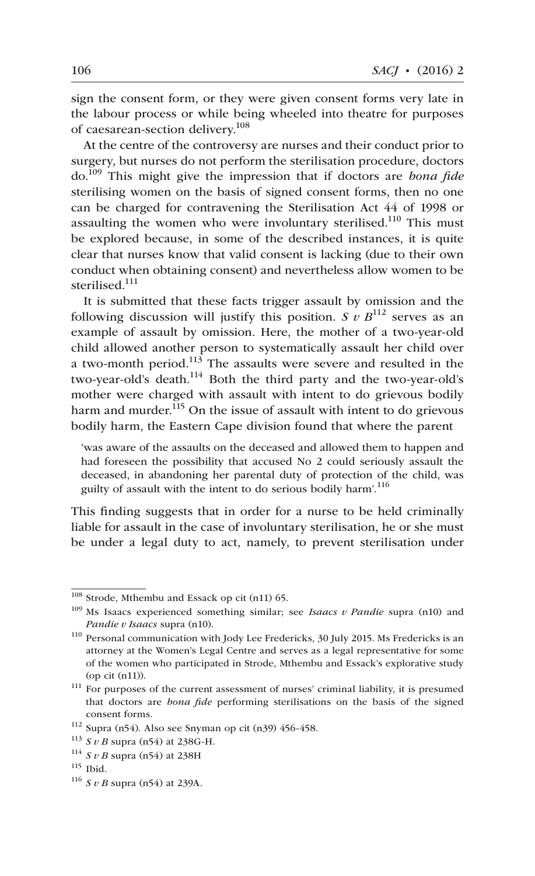sign the consent form, or they were given consent forms very late in the labour process or while being wheeled into theatre for purposes of caesarean-section delivery.108

At the centre of the controversy are nurses and their conduct prior to surgery, but nurses do not perform the sterilisation procedure, doctors do.109 This might give the impression that if doctors are *bona fide* sterilising women on the basis of signed consent forms, then no one can be charged for contravening the Sterilisation Act 44 of 1998 or assaulting the women who were involuntary sterilised.<sup>110</sup> This must be explored because, in some of the described instances, it is quite clear that nurses know that valid consent is lacking (due to their own conduct when obtaining consent) and nevertheless allow women to be sterilised<sup>111</sup>

It is submitted that these facts trigger assault by omission and the following discussion will justify this position. *S v B*<sup>112</sup> serves as an example of assault by omission. Here, the mother of a two-year-old child allowed another person to systematically assault her child over a two-month period.<sup>113</sup> The assaults were severe and resulted in the two-year-old's death.<sup>114</sup> Both the third party and the two-year-old's mother were charged with assault with intent to do grievous bodily harm and murder.<sup>115</sup> On the issue of assault with intent to do grievous bodily harm, the Eastern Cape division found that where the parent

'was aware of the assaults on the deceased and allowed them to happen and had foreseen the possibility that accused No 2 could seriously assault the deceased, in abandoning her parental duty of protection of the child, was guilty of assault with the intent to do serious bodily harm'.<sup>116</sup>

This finding suggests that in order for a nurse to be held criminally liable for assault in the case of involuntary sterilisation, he or she must be under a legal duty to act, namely, to prevent sterilisation under

<sup>108</sup> Strode, Mthembu and Essack op cit (n11) 65.

<sup>109</sup> Ms Isaacs experienced something similar; see *Isaacs v Pandie* supra (n10) and *Pandie v Isaacs* supra (n10).

<sup>110</sup> Personal communication with Jody Lee Fredericks, 30 July 2015. Ms Fredericks is an attorney at the Women's Legal Centre and serves as a legal representative for some of the women who participated in Strode, Mthembu and Essack's explorative study (op cit (n11)).

<sup>111</sup> For purposes of the current assessment of nurses' criminal liability, it is presumed that doctors are *bona fide* performing sterilisations on the basis of the signed consent forms.

<sup>112</sup> Supra (n54). Also see Snyman op cit (n39) 456-458.

<sup>113</sup> *S v B* supra (n54) at 238G-H.

<sup>114</sup> *S v B* supra (n54) at 238H

 $115$  Ibid.

<sup>116</sup> *S v B* supra (n54) at 239A.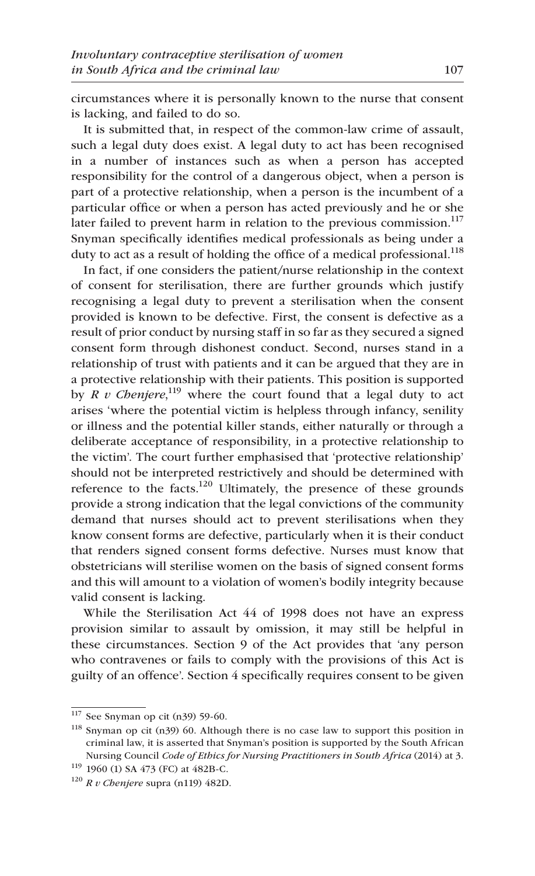circumstances where it is personally known to the nurse that consent is lacking, and failed to do so.

It is submitted that, in respect of the common-law crime of assault, such a legal duty does exist. A legal duty to act has been recognised in a number of instances such as when a person has accepted responsibility for the control of a dangerous object, when a person is part of a protective relationship, when a person is the incumbent of a particular office or when a person has acted previously and he or she later failed to prevent harm in relation to the previous commission.<sup>117</sup> Snyman specifically identifies medical professionals as being under a duty to act as a result of holding the office of a medical professional.<sup>118</sup>

In fact, if one considers the patient/nurse relationship in the context of consent for sterilisation, there are further grounds which justify recognising a legal duty to prevent a sterilisation when the consent provided is known to be defective. First, the consent is defective as a result of prior conduct by nursing staff in so far as they secured a signed consent form through dishonest conduct. Second, nurses stand in a relationship of trust with patients and it can be argued that they are in a protective relationship with their patients. This position is supported by *R v Chenjere*,<sup>119</sup> where the court found that a legal duty to act arises 'where the potential victim is helpless through infancy, senility or illness and the potential killer stands, either naturally or through a deliberate acceptance of responsibility, in a protective relationship to the victim'. The court further emphasised that 'protective relationship' should not be interpreted restrictively and should be determined with reference to the facts.<sup>120</sup> Ultimately, the presence of these grounds provide a strong indication that the legal convictions of the community demand that nurses should act to prevent sterilisations when they know consent forms are defective, particularly when it is their conduct that renders signed consent forms defective. Nurses must know that obstetricians will sterilise women on the basis of signed consent forms and this will amount to a violation of women's bodily integrity because valid consent is lacking.

While the Sterilisation Act 44 of 1998 does not have an express provision similar to assault by omission, it may still be helpful in these circumstances. Section 9 of the Act provides that 'any person who contravenes or fails to comply with the provisions of this Act is guilty of an offence'. Section 4 specifically requires consent to be given

<sup>117</sup> See Snyman op cit (n39) 59-60.

<sup>118</sup> Snyman op cit (n39) 60. Although there is no case law to support this position in criminal law, it is asserted that Snyman's position is supported by the South African Nursing Council *Code of Ethics for Nursing Practitioners in South Africa* (2014) at 3.

<sup>119</sup> 1960 (1) SA 473 (FC) at 482B-C.

<sup>120</sup> *R v Chenjere* supra (n119) 482D.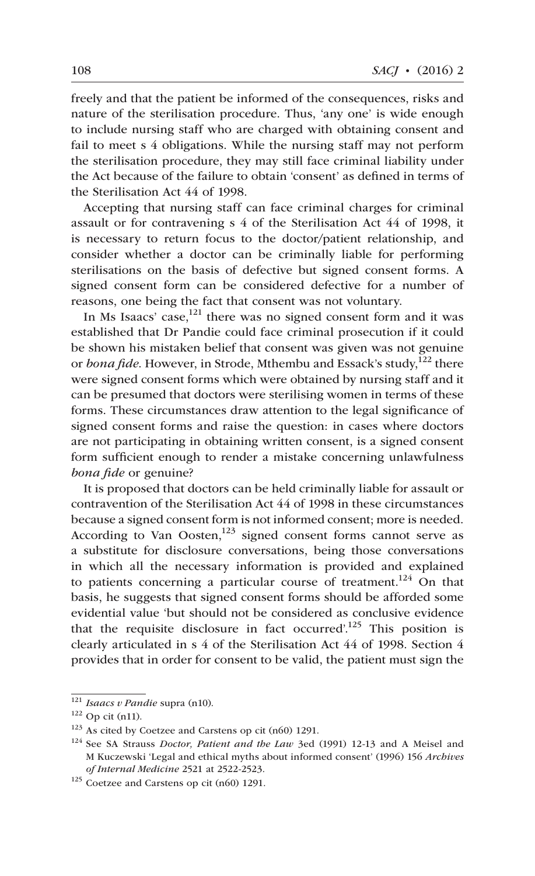freely and that the patient be informed of the consequences, risks and nature of the sterilisation procedure. Thus, 'any one' is wide enough to include nursing staff who are charged with obtaining consent and fail to meet s 4 obligations. While the nursing staff may not perform the sterilisation procedure, they may still face criminal liability under the Act because of the failure to obtain 'consent' as defined in terms of the Sterilisation Act 44 of 1998.

Accepting that nursing staff can face criminal charges for criminal assault or for contravening s 4 of the Sterilisation Act 44 of 1998, it is necessary to return focus to the doctor/patient relationship, and consider whether a doctor can be criminally liable for performing sterilisations on the basis of defective but signed consent forms. A signed consent form can be considered defective for a number of reasons, one being the fact that consent was not voluntary.

In Ms Isaacs' case, $121$  there was no signed consent form and it was established that Dr Pandie could face criminal prosecution if it could be shown his mistaken belief that consent was given was not genuine or *bona fide*. However, in Strode, Mthembu and Essack's study,<sup>122</sup> there were signed consent forms which were obtained by nursing staff and it can be presumed that doctors were sterilising women in terms of these forms. These circumstances draw attention to the legal significance of signed consent forms and raise the question: in cases where doctors are not participating in obtaining written consent, is a signed consent form sufficient enough to render a mistake concerning unlawfulness *bona fide* or genuine?

It is proposed that doctors can be held criminally liable for assault or contravention of the Sterilisation Act 44 of 1998 in these circumstances because a signed consent form is not informed consent; more is needed. According to Van Oosten, $123$  signed consent forms cannot serve as a substitute for disclosure conversations, being those conversations in which all the necessary information is provided and explained to patients concerning a particular course of treatment.<sup>124</sup> On that basis, he suggests that signed consent forms should be afforded some evidential value 'but should not be considered as conclusive evidence that the requisite disclosure in fact occurred'.<sup>125</sup> This position is clearly articulated in s 4 of the Sterilisation Act 44 of 1998. Section 4 provides that in order for consent to be valid, the patient must sign the

<sup>121</sup> *Isaacs v Pandie* supra (n10).

 $122$  Op cit (n11).

<sup>123</sup> As cited by Coetzee and Carstens op cit (n60) 1291.

<sup>124</sup> See SA Strauss *Doctor, Patient and the Law* 3ed (1991) 12-13 and A Meisel and M Kuczewski 'Legal and ethical myths about informed consent' (1996) 156 *Archives of Internal Medicine* 2521 at 2522-2523.

<sup>125</sup> Coetzee and Carstens op cit (n60) 1291.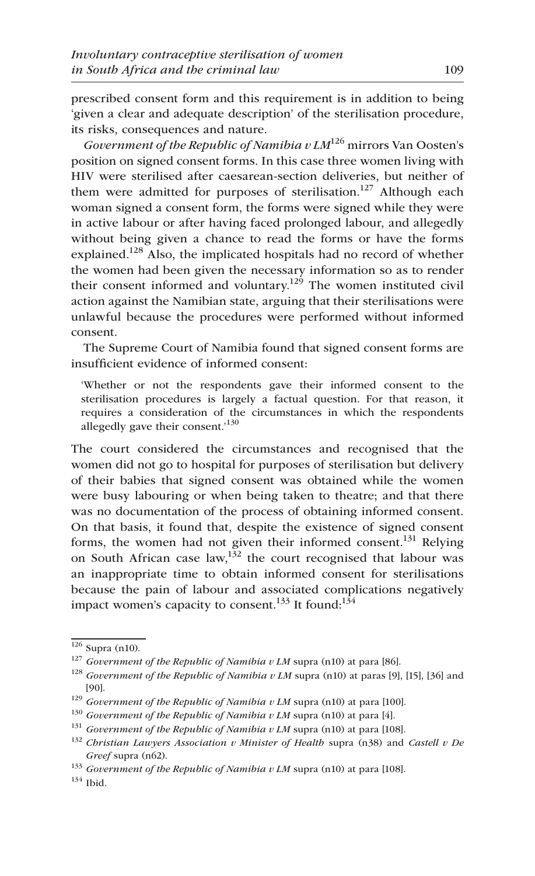prescribed consent form and this requirement is in addition to being 'given a clear and adequate description' of the sterilisation procedure, its risks, consequences and nature.

*Government of the Republic of Namibia v LM*126 mirrors Van Oosten's position on signed consent forms. In this case three women living with HIV were sterilised after caesarean-section deliveries, but neither of them were admitted for purposes of sterilisation.<sup>127</sup> Although each woman signed a consent form, the forms were signed while they were in active labour or after having faced prolonged labour, and allegedly without being given a chance to read the forms or have the forms explained.<sup>128</sup> Also, the implicated hospitals had no record of whether the women had been given the necessary information so as to render their consent informed and voluntary.<sup>129</sup> The women instituted civil action against the Namibian state, arguing that their sterilisations were unlawful because the procedures were performed without informed consent.

The Supreme Court of Namibia found that signed consent forms are insufficient evidence of informed consent:

'Whether or not the respondents gave their informed consent to the sterilisation procedures is largely a factual question. For that reason, it requires a consideration of the circumstances in which the respondents allegedly gave their consent.'<sup>130</sup>

The court considered the circumstances and recognised that the women did not go to hospital for purposes of sterilisation but delivery of their babies that signed consent was obtained while the women were busy labouring or when being taken to theatre; and that there was no documentation of the process of obtaining informed consent. On that basis, it found that, despite the existence of signed consent forms, the women had not given their informed consent.<sup>131</sup> Relying on South African case  $law$ ,<sup>132</sup> the court recognised that labour was an inappropriate time to obtain informed consent for sterilisations because the pain of labour and associated complications negatively impact women's capacity to consent.<sup>133</sup> It found:<sup>134</sup>

 $134$  Ibid.

<sup>126</sup> Supra (n10).

<sup>127</sup> *Government of the Republic of Namibia v LM* supra (n10) at para [86].

<sup>128</sup> *Government of the Republic of Namibia v LM* supra (n10) at paras [9], [15], [36] and [90].

<sup>129</sup> *Government of the Republic of Namibia v LM* supra (n10) at para [100].

<sup>130</sup> *Government of the Republic of Namibia v LM* supra (n10) at para [4].

<sup>131</sup> *Government of the Republic of Namibia v LM* supra (n10) at para [108].

<sup>132</sup> *Christian Lawyers Association v Minister of Health* supra (n38) and *Castell v De Greef* supra (n62).

<sup>133</sup> *Government of the Republic of Namibia v LM* supra (n10) at para [108].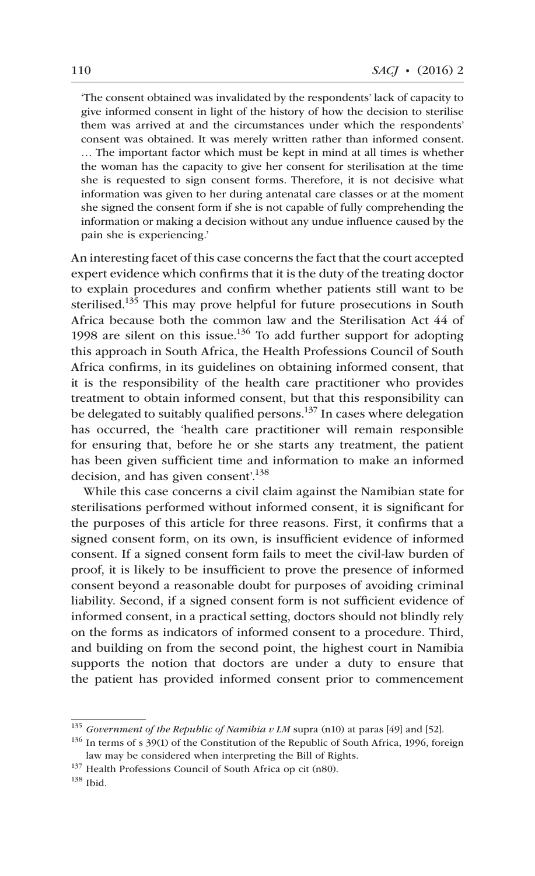'The consent obtained was invalidated by the respondents' lack of capacity to give informed consent in light of the history of how the decision to sterilise them was arrived at and the circumstances under which the respondents' consent was obtained. It was merely written rather than informed consent. … The important factor which must be kept in mind at all times is whether the woman has the capacity to give her consent for sterilisation at the time she is requested to sign consent forms. Therefore, it is not decisive what information was given to her during antenatal care classes or at the moment she signed the consent form if she is not capable of fully comprehending the information or making a decision without any undue influence caused by the pain she is experiencing.'

An interesting facet of this case concerns the fact that the court accepted expert evidence which confirms that it is the duty of the treating doctor to explain procedures and confirm whether patients still want to be sterilised.<sup>135</sup> This may prove helpful for future prosecutions in South Africa because both the common law and the Sterilisation Act 44 of 1998 are silent on this issue.<sup>136</sup> To add further support for adopting this approach in South Africa, the Health Professions Council of South Africa confirms, in its guidelines on obtaining informed consent, that it is the responsibility of the health care practitioner who provides treatment to obtain informed consent, but that this responsibility can be delegated to suitably qualified persons.<sup>137</sup> In cases where delegation has occurred, the 'health care practitioner will remain responsible for ensuring that, before he or she starts any treatment, the patient has been given sufficient time and information to make an informed decision, and has given consent'.<sup>138</sup>

While this case concerns a civil claim against the Namibian state for sterilisations performed without informed consent, it is significant for the purposes of this article for three reasons. First, it confirms that a signed consent form, on its own, is insufficient evidence of informed consent. If a signed consent form fails to meet the civil-law burden of proof, it is likely to be insufficient to prove the presence of informed consent beyond a reasonable doubt for purposes of avoiding criminal liability. Second, if a signed consent form is not sufficient evidence of informed consent, in a practical setting, doctors should not blindly rely on the forms as indicators of informed consent to a procedure. Third, and building on from the second point, the highest court in Namibia supports the notion that doctors are under a duty to ensure that the patient has provided informed consent prior to commencement

<sup>135</sup> *Government of the Republic of Namibia v LM* supra (n10) at paras [49] and [52].

<sup>&</sup>lt;sup>136</sup> In terms of s 39(1) of the Constitution of the Republic of South Africa, 1996, foreign law may be considered when interpreting the Bill of Rights.

<sup>&</sup>lt;sup>137</sup> Health Professions Council of South Africa op cit (n80).

<sup>138</sup> Ibid.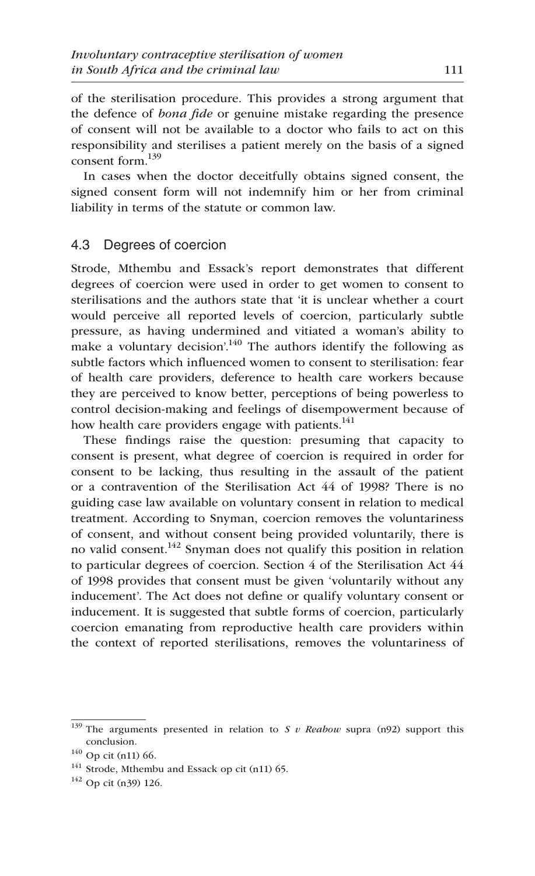of the sterilisation procedure. This provides a strong argument that the defence of *bona fide* or genuine mistake regarding the presence of consent will not be available to a doctor who fails to act on this responsibility and sterilises a patient merely on the basis of a signed consent form.139

In cases when the doctor deceitfully obtains signed consent, the signed consent form will not indemnify him or her from criminal liability in terms of the statute or common law.

#### 4.3 Degrees of coercion

Strode, Mthembu and Essack's report demonstrates that different degrees of coercion were used in order to get women to consent to sterilisations and the authors state that 'it is unclear whether a court would perceive all reported levels of coercion, particularly subtle pressure, as having undermined and vitiated a woman's ability to make a voluntary decision'.<sup>140</sup> The authors identify the following as subtle factors which influenced women to consent to sterilisation: fear of health care providers, deference to health care workers because they are perceived to know better, perceptions of being powerless to control decision-making and feelings of disempowerment because of how health care providers engage with patients.<sup>141</sup>

These findings raise the question: presuming that capacity to consent is present, what degree of coercion is required in order for consent to be lacking, thus resulting in the assault of the patient or a contravention of the Sterilisation Act 44 of 1998? There is no guiding case law available on voluntary consent in relation to medical treatment. According to Snyman, coercion removes the voluntariness of consent, and without consent being provided voluntarily, there is no valid consent.<sup>142</sup> Snyman does not qualify this position in relation to particular degrees of coercion. Section 4 of the Sterilisation Act 44 of 1998 provides that consent must be given 'voluntarily without any inducement'. The Act does not define or qualify voluntary consent or inducement. It is suggested that subtle forms of coercion, particularly coercion emanating from reproductive health care providers within the context of reported sterilisations, removes the voluntariness of

<sup>139</sup> The arguments presented in relation to *S v Reabow* supra (n92) support this conclusion.

<sup>140</sup> Op cit (n11) 66.

 $141$  Strode, Mthembu and Essack op cit (n11) 65.

<sup>142</sup> Op cit (n39) 126.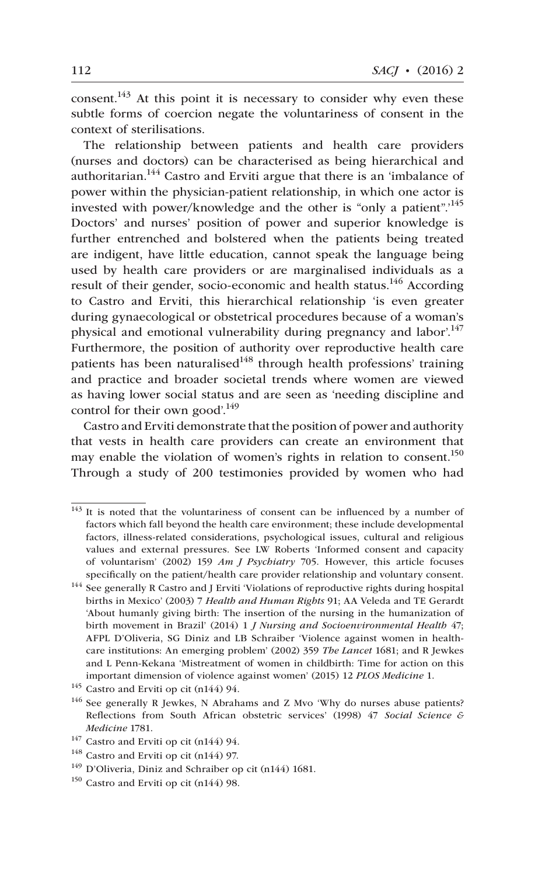consent.<sup>143</sup> At this point it is necessary to consider why even these subtle forms of coercion negate the voluntariness of consent in the context of sterilisations.

The relationship between patients and health care providers (nurses and doctors) can be characterised as being hierarchical and authoritarian.<sup>144</sup> Castro and Erviti argue that there is an 'imbalance of power within the physician-patient relationship, in which one actor is invested with power/knowledge and the other is "only a patient".<sup>145</sup> Doctors' and nurses' position of power and superior knowledge is further entrenched and bolstered when the patients being treated are indigent, have little education, cannot speak the language being used by health care providers or are marginalised individuals as a result of their gender, socio-economic and health status.<sup>146</sup> According to Castro and Erviti, this hierarchical relationship 'is even greater during gynaecological or obstetrical procedures because of a woman's physical and emotional vulnerability during pregnancy and labor.<sup>147</sup> Furthermore, the position of authority over reproductive health care patients has been naturalised<sup>148</sup> through health professions' training and practice and broader societal trends where women are viewed as having lower social status and are seen as 'needing discipline and control for their own good'.<sup>149</sup>

Castro and Erviti demonstrate that the position of power and authority that vests in health care providers can create an environment that may enable the violation of women's rights in relation to consent.<sup>150</sup> Through a study of 200 testimonies provided by women who had

 $143$  It is noted that the voluntariness of consent can be influenced by a number of factors which fall beyond the health care environment; these include developmental factors, illness-related considerations, psychological issues, cultural and religious values and external pressures. See LW Roberts 'Informed consent and capacity of voluntarism' (2002) 159 *Am J Psychiatry* 705. However, this article focuses specifically on the patient/health care provider relationship and voluntary consent.

<sup>&</sup>lt;sup>144</sup> See generally R Castro and J Erviti 'Violations of reproductive rights during hospital births in Mexico' (2003) 7 *Health and Human Rights* 91; AA Veleda and TE Gerardt 'About humanly giving birth: The insertion of the nursing in the humanization of birth movement in Brazil' (2014) 1 *J Nursing and Socioenvironmental Health* 47; AFPL D'Oliveria, SG Diniz and LB Schraiber 'Violence against women in healthcare institutions: An emerging problem' (2002) 359 *The Lancet* 1681; and R Jewkes and L Penn-Kekana 'Mistreatment of women in childbirth: Time for action on this important dimension of violence against women' (2015) 12 *PLOS Medicine* 1.

<sup>145</sup> Castro and Erviti op cit (n144) 94.

<sup>&</sup>lt;sup>146</sup> See generally R Jewkes, N Abrahams and Z Mvo 'Why do nurses abuse patients? Reflections from South African obstetric services' (1998) 47 *Social Science & Medicine* 1781.

<sup>147</sup> Castro and Erviti op cit (n144) 94.

<sup>&</sup>lt;sup>148</sup> Castro and Erviti op cit (n144) 97.

<sup>149</sup> D'Oliveria, Diniz and Schraiber op cit (n144) 1681.

<sup>150</sup> Castro and Erviti op cit (n144) 98.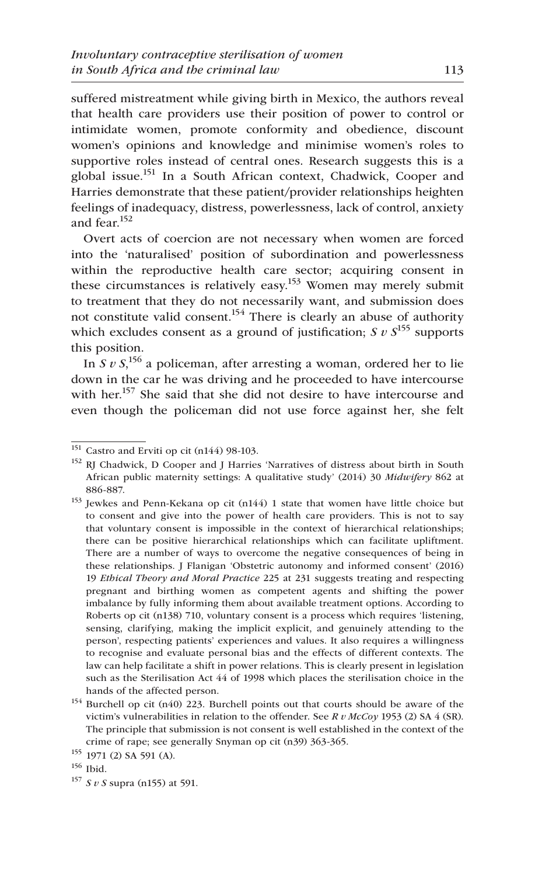suffered mistreatment while giving birth in Mexico, the authors reveal that health care providers use their position of power to control or intimidate women, promote conformity and obedience, discount women's opinions and knowledge and minimise women's roles to supportive roles instead of central ones. Research suggests this is a global issue.<sup>151</sup> In a South African context, Chadwick, Cooper and Harries demonstrate that these patient/provider relationships heighten feelings of inadequacy, distress, powerlessness, lack of control, anxiety and fear.<sup>152</sup>

Overt acts of coercion are not necessary when women are forced into the 'naturalised' position of subordination and powerlessness within the reproductive health care sector; acquiring consent in these circumstances is relatively easy.<sup>153</sup> Women may merely submit to treatment that they do not necessarily want, and submission does not constitute valid consent.<sup>154</sup> There is clearly an abuse of authority which excludes consent as a ground of justification;  $S v S^{155}$  supports this position.

In *S v S*, 156 a policeman, after arresting a woman, ordered her to lie down in the car he was driving and he proceeded to have intercourse with her.<sup>157</sup> She said that she did not desire to have intercourse and even though the policeman did not use force against her, she felt

 $151$  Castro and Erviti op cit (n144) 98-103.

<sup>152</sup> RJ Chadwick, D Cooper and J Harries 'Narratives of distress about birth in South African public maternity settings: A qualitative study' (2014) 30 *Midwifery* 862 at 886-887.

<sup>&</sup>lt;sup>153</sup> Jewkes and Penn-Kekana op cit (n144) 1 state that women have little choice but to consent and give into the power of health care providers. This is not to say that voluntary consent is impossible in the context of hierarchical relationships; there can be positive hierarchical relationships which can facilitate upliftment. There are a number of ways to overcome the negative consequences of being in these relationships. J Flanigan 'Obstetric autonomy and informed consent' (2016) 19 *Ethical Theory and Moral Practice* 225 at 231 suggests treating and respecting pregnant and birthing women as competent agents and shifting the power imbalance by fully informing them about available treatment options. According to Roberts op cit (n138) 710, voluntary consent is a process which requires 'listening, sensing, clarifying, making the implicit explicit, and genuinely attending to the person', respecting patients' experiences and values. It also requires a willingness to recognise and evaluate personal bias and the effects of different contexts. The law can help facilitate a shift in power relations. This is clearly present in legislation such as the Sterilisation Act 44 of 1998 which places the sterilisation choice in the hands of the affected person.

<sup>154</sup> Burchell op cit (n40) 223. Burchell points out that courts should be aware of the victim's vulnerabilities in relation to the offender. See *R v McCoy* 1953 (2) SA 4 (SR). The principle that submission is not consent is well established in the context of the crime of rape; see generally Snyman op cit (n39) 363-365. 155 1971 (2) SA 591 (A).

<sup>156</sup> Ibid.

<sup>157</sup> *S v S* supra (n155) at 591.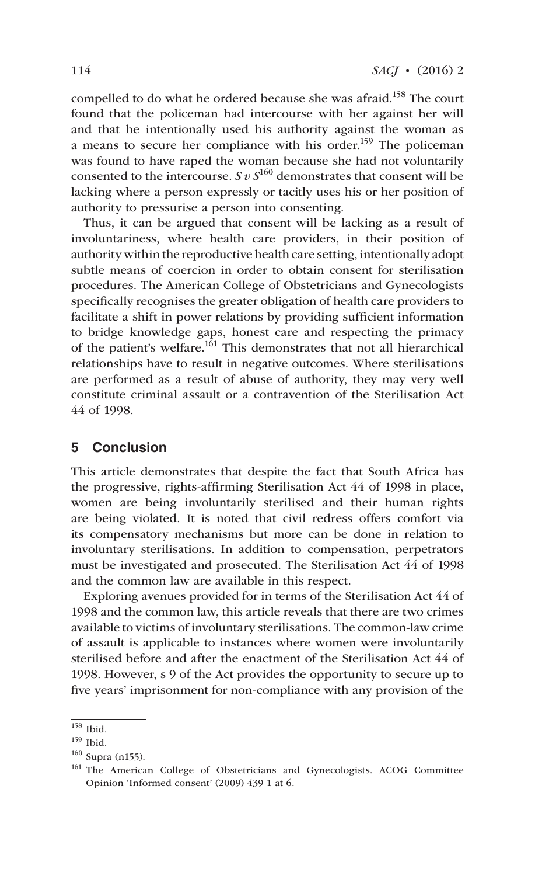compelled to do what he ordered because she was afraid.<sup>158</sup> The court found that the policeman had intercourse with her against her will and that he intentionally used his authority against the woman as a means to secure her compliance with his order.<sup>159</sup> The policeman was found to have raped the woman because she had not voluntarily consented to the intercourse. *S v S*160 demonstrates that consent will be lacking where a person expressly or tacitly uses his or her position of authority to pressurise a person into consenting.

Thus, it can be argued that consent will be lacking as a result of involuntariness, where health care providers, in their position of authority within the reproductive health care setting, intentionally adopt subtle means of coercion in order to obtain consent for sterilisation procedures. The American College of Obstetricians and Gynecologists specifically recognises the greater obligation of health care providers to facilitate a shift in power relations by providing sufficient information to bridge knowledge gaps, honest care and respecting the primacy of the patient's welfare.<sup>161</sup> This demonstrates that not all hierarchical relationships have to result in negative outcomes. Where sterilisations are performed as a result of abuse of authority, they may very well constitute criminal assault or a contravention of the Sterilisation Act 44 of 1998.

## **5 Conclusion**

This article demonstrates that despite the fact that South Africa has the progressive, rights-affirming Sterilisation Act 44 of 1998 in place, women are being involuntarily sterilised and their human rights are being violated. It is noted that civil redress offers comfort via its compensatory mechanisms but more can be done in relation to involuntary sterilisations. In addition to compensation, perpetrators must be investigated and prosecuted. The Sterilisation Act 44 of 1998 and the common law are available in this respect.

Exploring avenues provided for in terms of the Sterilisation Act 44 of 1998 and the common law, this article reveals that there are two crimes available to victims of involuntary sterilisations. The common-law crime of assault is applicable to instances where women were involuntarily sterilised before and after the enactment of the Sterilisation Act 44 of 1998. However, s 9 of the Act provides the opportunity to secure up to five years' imprisonment for non-compliance with any provision of the

<sup>158</sup> Ibid.

<sup>159</sup> Ibid.

<sup>160</sup> Supra (n155).

<sup>&</sup>lt;sup>161</sup> The American College of Obstetricians and Gynecologists. ACOG Committee Opinion 'Informed consent' (2009) 439 1 at 6.